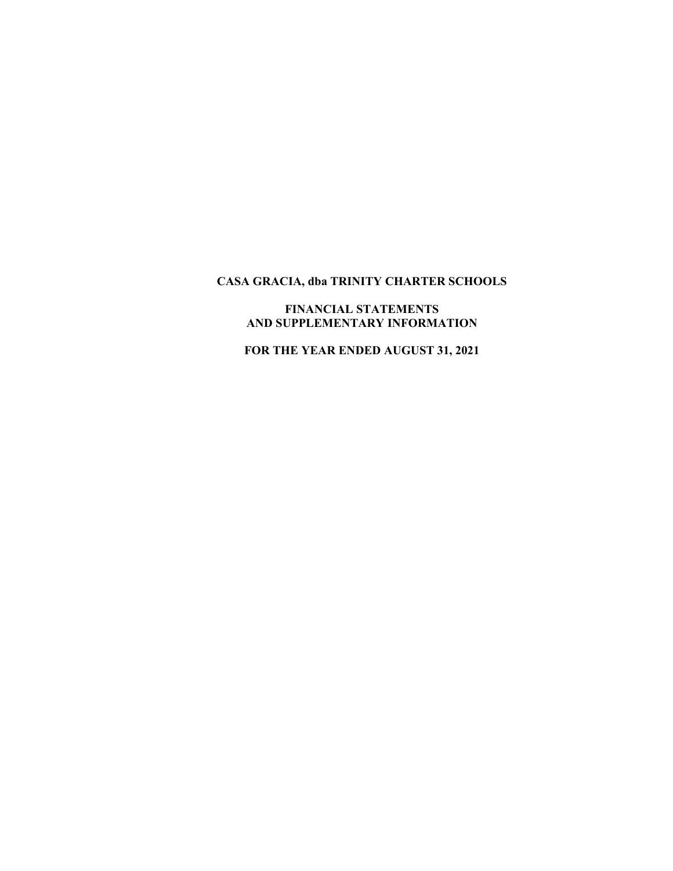# **FINANCIAL STATEMENTS AND SUPPLEMENTARY INFORMATION**

 **FOR THE YEAR ENDED AUGUST 31, 2021**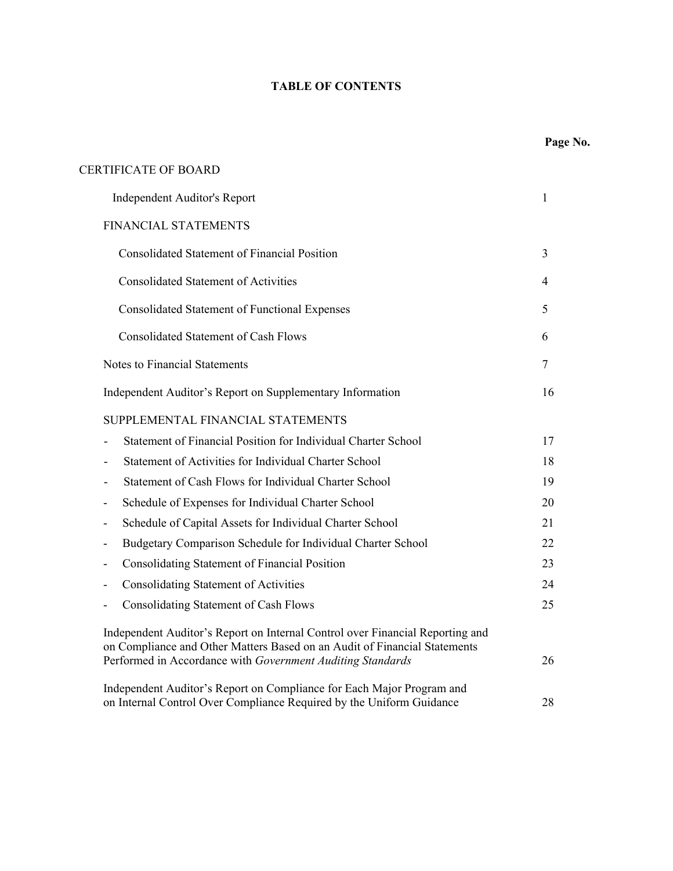# **TABLE OF CONTENTS**

| <b>CERTIFICATE OF BOARD</b>  |  |
|------------------------------|--|
| Independent Auditor's Report |  |

# FINANCIAL STATEMENTS

| <b>Consolidated Statement of Financial Position</b>                                                                                                        | 3  |
|------------------------------------------------------------------------------------------------------------------------------------------------------------|----|
| <b>Consolidated Statement of Activities</b>                                                                                                                | 4  |
| <b>Consolidated Statement of Functional Expenses</b>                                                                                                       | 5  |
| <b>Consolidated Statement of Cash Flows</b>                                                                                                                | 6  |
| <b>Notes to Financial Statements</b>                                                                                                                       | 7  |
| Independent Auditor's Report on Supplementary Information                                                                                                  | 16 |
| SUPPLEMENTAL FINANCIAL STATEMENTS                                                                                                                          |    |
| Statement of Financial Position for Individual Charter School                                                                                              | 17 |
| Statement of Activities for Individual Charter School                                                                                                      | 18 |
| Statement of Cash Flows for Individual Charter School                                                                                                      | 19 |
| Schedule of Expenses for Individual Charter School                                                                                                         | 20 |
| Schedule of Capital Assets for Individual Charter School                                                                                                   | 21 |
| Budgetary Comparison Schedule for Individual Charter School                                                                                                | 22 |
| Consolidating Statement of Financial Position<br>$\overline{\phantom{a}}$                                                                                  | 23 |
| <b>Consolidating Statement of Activities</b><br>-                                                                                                          | 24 |
| <b>Consolidating Statement of Cash Flows</b>                                                                                                               | 25 |
| Independent Auditor's Report on Internal Control over Financial Reporting and<br>on Compliance and Other Matters Based on an Audit of Financial Statements |    |
| Performed in Accordance with Government Auditing Standards                                                                                                 | 26 |
| Independent Auditor's Report on Compliance for Each Major Program and                                                                                      |    |
| on Internal Control Over Compliance Required by the Uniform Guidance                                                                                       | 28 |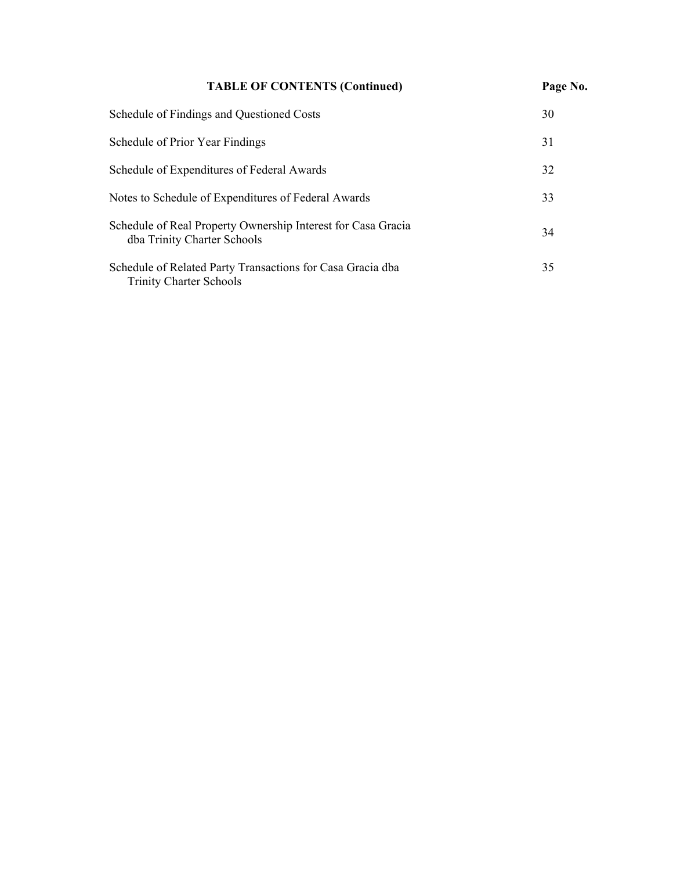| <b>TABLE OF CONTENTS (Continued)</b>                                                         | Page No. |
|----------------------------------------------------------------------------------------------|----------|
| Schedule of Findings and Questioned Costs                                                    | 30       |
| Schedule of Prior Year Findings                                                              | 31       |
| Schedule of Expenditures of Federal Awards                                                   | 32       |
| Notes to Schedule of Expenditures of Federal Awards                                          | 33       |
| Schedule of Real Property Ownership Interest for Casa Gracia<br>dba Trinity Charter Schools  | 34       |
| Schedule of Related Party Transactions for Casa Gracia dba<br><b>Trinity Charter Schools</b> | 35       |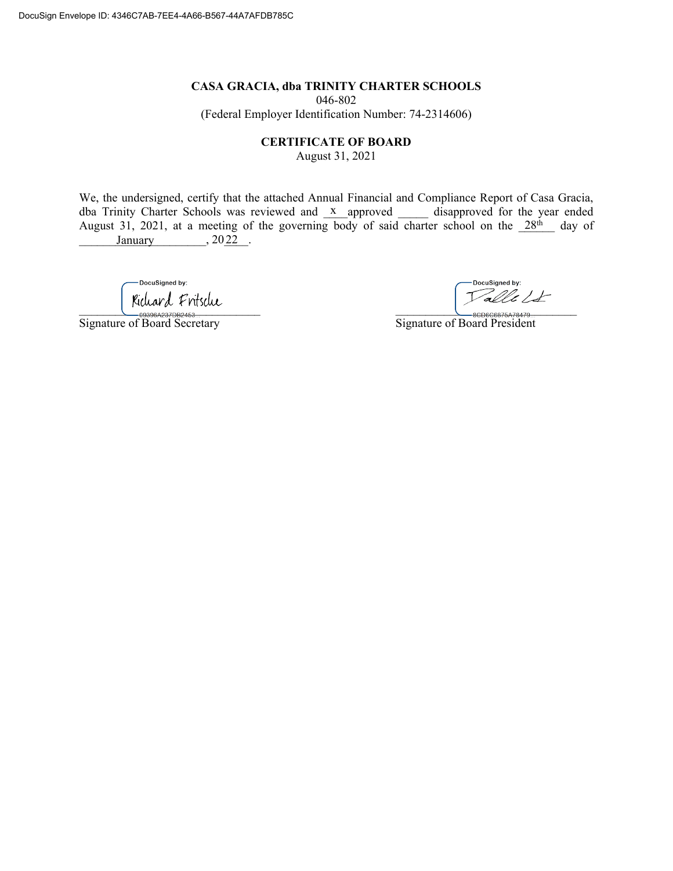046-802 (Federal Employer Identification Number: 74-2314606)

**CERTIFICATE OF BOARD** 

August 31, 2021

We, the undersigned, certify that the attached Annual Financial and Compliance Report of Casa Gracia, dba Trinity Charter Schools was reviewed and x approved disapproved for the year ended August 31, 2021, at a meeting of the governing body of said charter school on the  $28<sup>th</sup>$  day of  $\frac{\text{January}}{\text{1}}$ , 2022.

-DocuSigned by:  $\bigcup_{0.93066237\text{D}2^{3/7}}$ 

Signature of Board Secretary Signature of Board Secretary Signature of Board Secretary

DocuSigned by: Talle Lt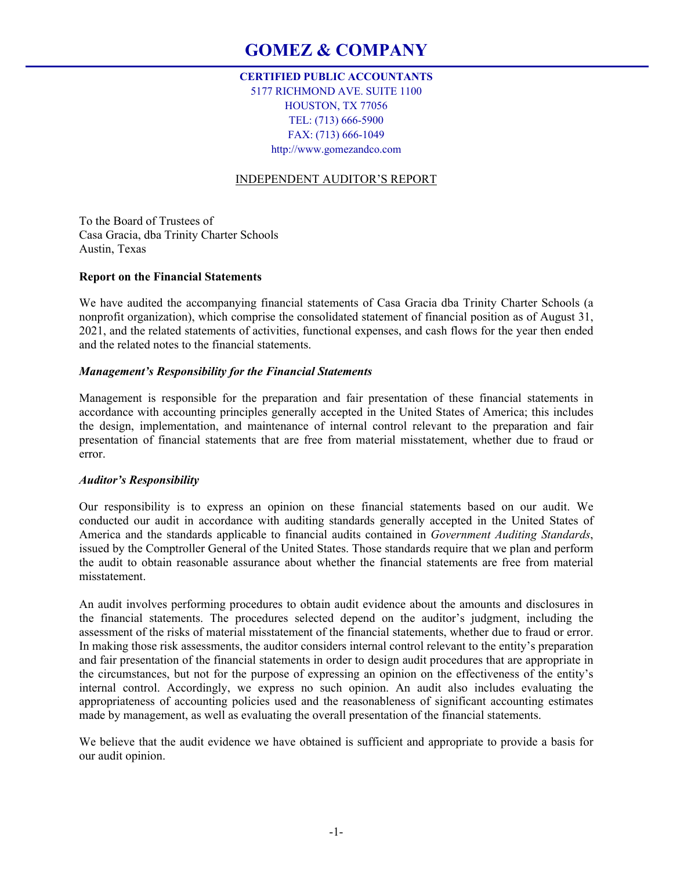# **CERTIFIED PUBLIC ACCOUNTANTS**

5177 RICHMOND AVE. SUITE 1100 HOUSTON, TX 77056 TEL: (713) 666-5900 FAX: (713) 666-1049 http://www.gomezandco.com

# INDEPENDENT AUDITOR'S REPORT

To the Board of Trustees of Casa Gracia, dba Trinity Charter Schools Austin, Texas

# **Report on the Financial Statements**

We have audited the accompanying financial statements of Casa Gracia dba Trinity Charter Schools (a nonprofit organization), which comprise the consolidated statement of financial position as of August 31, 2021, and the related statements of activities, functional expenses, and cash flows for the year then ended and the related notes to the financial statements.

## *Management's Responsibility for the Financial Statements*

Management is responsible for the preparation and fair presentation of these financial statements in accordance with accounting principles generally accepted in the United States of America; this includes the design, implementation, and maintenance of internal control relevant to the preparation and fair presentation of financial statements that are free from material misstatement, whether due to fraud or error.

# *Auditor's Responsibility*

Our responsibility is to express an opinion on these financial statements based on our audit. We conducted our audit in accordance with auditing standards generally accepted in the United States of America and the standards applicable to financial audits contained in *Government Auditing Standards*, issued by the Comptroller General of the United States. Those standards require that we plan and perform the audit to obtain reasonable assurance about whether the financial statements are free from material misstatement.

An audit involves performing procedures to obtain audit evidence about the amounts and disclosures in the financial statements. The procedures selected depend on the auditor's judgment, including the assessment of the risks of material misstatement of the financial statements, whether due to fraud or error. In making those risk assessments, the auditor considers internal control relevant to the entity's preparation and fair presentation of the financial statements in order to design audit procedures that are appropriate in the circumstances, but not for the purpose of expressing an opinion on the effectiveness of the entity's internal control. Accordingly, we express no such opinion. An audit also includes evaluating the appropriateness of accounting policies used and the reasonableness of significant accounting estimates made by management, as well as evaluating the overall presentation of the financial statements.

We believe that the audit evidence we have obtained is sufficient and appropriate to provide a basis for our audit opinion.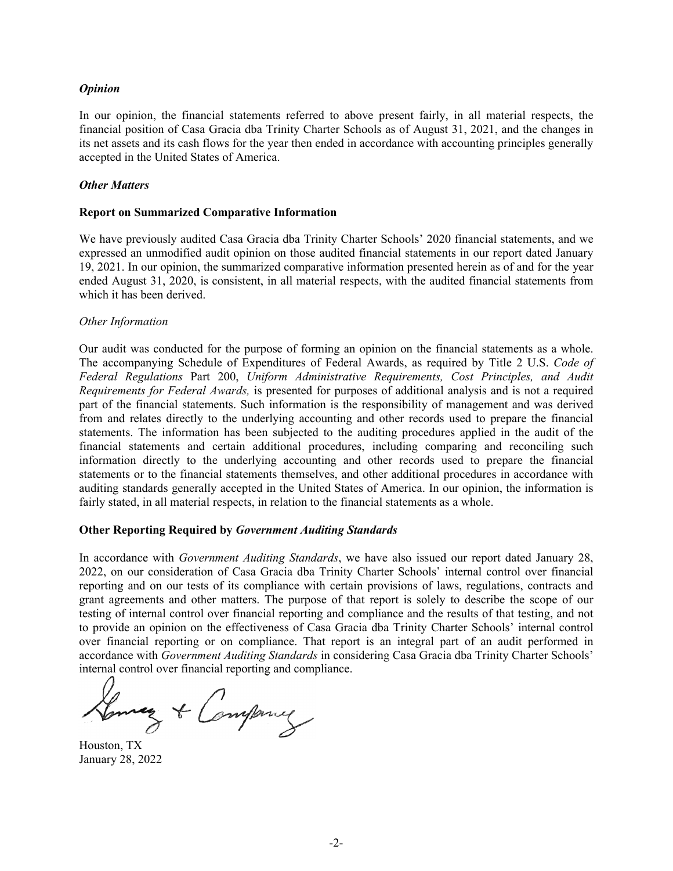# *Opinion*

In our opinion, the financial statements referred to above present fairly, in all material respects, the financial position of Casa Gracia dba Trinity Charter Schools as of August 31, 2021, and the changes in its net assets and its cash flows for the year then ended in accordance with accounting principles generally accepted in the United States of America.

### *Other Matters*

### **Report on Summarized Comparative Information**

We have previously audited Casa Gracia dba Trinity Charter Schools' 2020 financial statements, and we expressed an unmodified audit opinion on those audited financial statements in our report dated January 19, 2021. In our opinion, the summarized comparative information presented herein as of and for the year ended August 31, 2020, is consistent, in all material respects, with the audited financial statements from which it has been derived.

## *Other Information*

Our audit was conducted for the purpose of forming an opinion on the financial statements as a whole. The accompanying Schedule of Expenditures of Federal Awards, as required by Title 2 U.S. *Code of Federal Regulations* Part 200, *Uniform Administrative Requirements, Cost Principles, and Audit Requirements for Federal Awards,* is presented for purposes of additional analysis and is not a required part of the financial statements. Such information is the responsibility of management and was derived from and relates directly to the underlying accounting and other records used to prepare the financial statements. The information has been subjected to the auditing procedures applied in the audit of the financial statements and certain additional procedures, including comparing and reconciling such information directly to the underlying accounting and other records used to prepare the financial statements or to the financial statements themselves, and other additional procedures in accordance with auditing standards generally accepted in the United States of America. In our opinion, the information is fairly stated, in all material respects, in relation to the financial statements as a whole.

# **Other Reporting Required by** *Government Auditing Standards*

In accordance with *Government Auditing Standards*, we have also issued our report dated January 28, 2022, on our consideration of Casa Gracia dba Trinity Charter Schools' internal control over financial reporting and on our tests of its compliance with certain provisions of laws, regulations, contracts and grant agreements and other matters. The purpose of that report is solely to describe the scope of our testing of internal control over financial reporting and compliance and the results of that testing, and not to provide an opinion on the effectiveness of Casa Gracia dba Trinity Charter Schools' internal control over financial reporting or on compliance. That report is an integral part of an audit performed in accordance with *Government Auditing Standards* in considering Casa Gracia dba Trinity Charter Schools' internal control over financial reporting and compliance.

Lenney & Company

Houston, TX January 28, 2022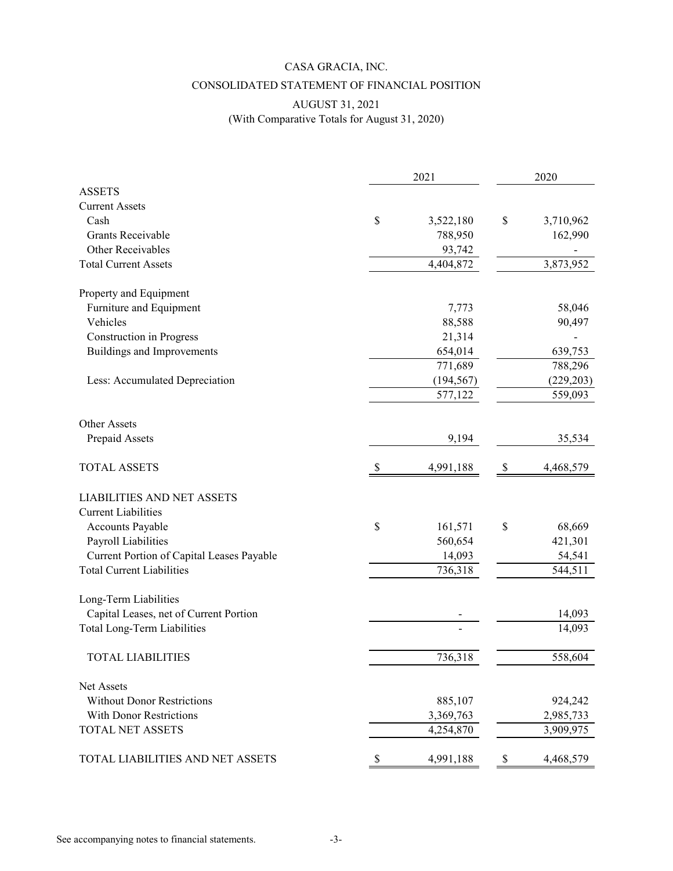# CASA GRACIA, INC. CONSOLIDATED STATEMENT OF FINANCIAL POSITION

# AUGUST 31, 2021 (With Comparative Totals for August 31, 2020)

|                                                 | 2021 |            | 2020 |            |
|-------------------------------------------------|------|------------|------|------------|
| <b>ASSETS</b>                                   |      |            |      |            |
| <b>Current Assets</b>                           |      |            |      |            |
| Cash                                            | \$   | 3,522,180  | \$   | 3,710,962  |
| <b>Grants Receivable</b>                        |      | 788,950    |      | 162,990    |
| Other Receivables                               |      | 93,742     |      |            |
| <b>Total Current Assets</b>                     |      | 4,404,872  |      | 3,873,952  |
| Property and Equipment                          |      |            |      |            |
| Furniture and Equipment                         |      | 7,773      |      | 58,046     |
| Vehicles                                        |      | 88,588     |      | 90,497     |
| <b>Construction</b> in Progress                 |      | 21,314     |      |            |
| <b>Buildings and Improvements</b>               |      | 654,014    |      | 639,753    |
|                                                 |      | 771,689    |      | 788,296    |
| Less: Accumulated Depreciation                  |      | (194, 567) |      | (229, 203) |
|                                                 |      | 577,122    |      | 559,093    |
| <b>Other Assets</b>                             |      |            |      |            |
| Prepaid Assets                                  |      | 9,194      |      | 35,534     |
| <b>TOTAL ASSETS</b>                             | S    | 4,991,188  | \$   | 4,468,579  |
| <b>LIABILITIES AND NET ASSETS</b>               |      |            |      |            |
| <b>Current Liabilities</b>                      |      |            |      |            |
| Accounts Payable                                | \$   | 161,571    | \$   | 68,669     |
| Payroll Liabilities                             |      | 560,654    |      | 421,301    |
| Current Portion of Capital Leases Payable       |      | 14,093     |      | 54,541     |
| <b>Total Current Liabilities</b>                |      | 736,318    |      | 544,511    |
| Long-Term Liabilities                           |      |            |      |            |
| Capital Leases, net of Current Portion          |      |            |      | 14,093     |
| Total Long-Term Liabilities                     |      |            |      | 14,093     |
| <b>TOTAL LIABILITIES</b>                        |      | 736,318    |      | 558,604    |
|                                                 |      |            |      |            |
| Net Assets<br><b>Without Donor Restrictions</b> |      | 885,107    |      | 924,242    |
| <b>With Donor Restrictions</b>                  |      | 3,369,763  |      | 2,985,733  |
| <b>TOTAL NET ASSETS</b>                         |      | 4,254,870  |      | 3,909,975  |
|                                                 |      |            |      |            |
| TOTAL LIABILITIES AND NET ASSETS                | \$   | 4,991,188  | \$   | 4,468,579  |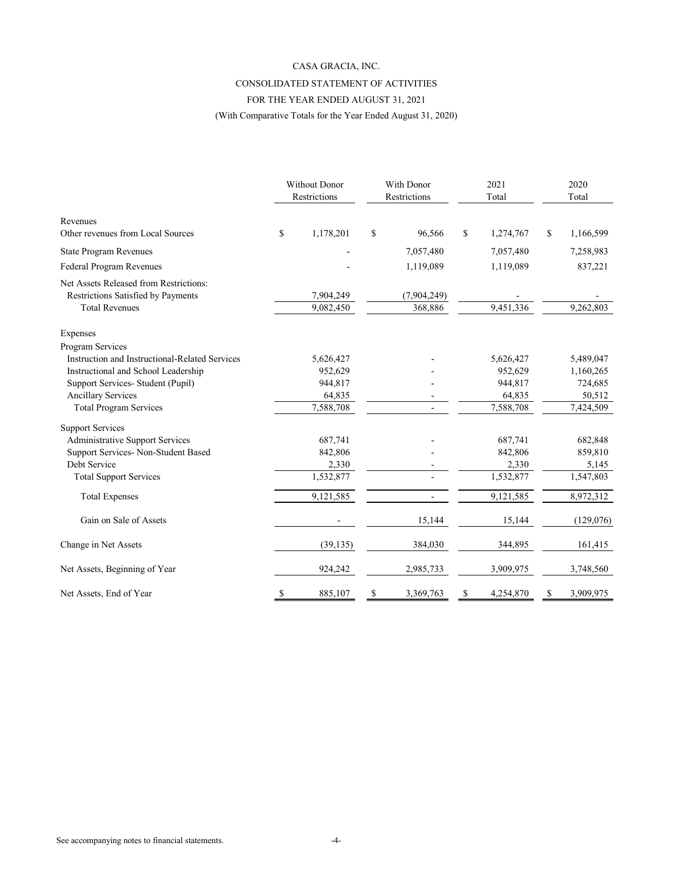#### CASA GRACIA, INC.

## CONSOLIDATED STATEMENT OF ACTIVITIES

# FOR THE YEAR ENDED AUGUST 31, 2021

(With Comparative Totals for the Year Ended August 31, 2020)

|                                                | <b>Without Donor</b><br>Restrictions | With Donor<br>Restrictions | 2021<br>Total   | 2020<br>Total   |
|------------------------------------------------|--------------------------------------|----------------------------|-----------------|-----------------|
| Revenues<br>Other revenues from Local Sources  | \$<br>1,178,201                      | \$<br>96,566               | \$<br>1,274,767 | \$<br>1,166,599 |
|                                                |                                      |                            |                 |                 |
| <b>State Program Revenues</b>                  |                                      | 7,057,480                  | 7,057,480       | 7,258,983       |
| Federal Program Revenues                       |                                      | 1,119,089                  | 1,119,089       | 837,221         |
| Net Assets Released from Restrictions:         |                                      |                            |                 |                 |
| Restrictions Satisfied by Payments             | 7,904,249                            | (7,904,249)                |                 |                 |
| <b>Total Revenues</b>                          | 9,082,450                            | 368,886                    | 9,451,336       | 9,262,803       |
| Expenses                                       |                                      |                            |                 |                 |
| Program Services                               |                                      |                            |                 |                 |
| Instruction and Instructional-Related Services | 5,626,427                            |                            | 5,626,427       | 5,489,047       |
| Instructional and School Leadership            | 952,629                              |                            | 952,629         | 1,160,265       |
| Support Services- Student (Pupil)              | 944,817                              |                            | 944,817         | 724,685         |
| <b>Ancillary Services</b>                      | 64,835                               |                            | 64,835          | 50,512          |
| <b>Total Program Services</b>                  | 7,588,708                            |                            | 7,588,708       | 7,424,509       |
| <b>Support Services</b>                        |                                      |                            |                 |                 |
| <b>Administrative Support Services</b>         | 687,741                              |                            | 687,741         | 682,848         |
| Support Services- Non-Student Based            | 842,806                              |                            | 842,806         | 859,810         |
| Debt Service                                   | 2,330                                |                            | 2,330           | 5,145           |
| <b>Total Support Services</b>                  | 1,532,877                            |                            | 1,532,877       | 1,547,803       |
| <b>Total Expenses</b>                          | 9,121,585                            | $\overline{a}$             | 9,121,585       | 8,972,312       |
| Gain on Sale of Assets                         |                                      | 15,144                     | 15,144          | (129,076)       |
| Change in Net Assets                           | (39, 135)                            | 384,030                    | 344,895         | 161,415         |
| Net Assets, Beginning of Year                  | 924,242                              | 2,985,733                  | 3,909,975       | 3,748,560       |
| Net Assets, End of Year                        | \$<br>885,107                        | \$<br>3,369,763            | \$<br>4,254,870 | \$<br>3,909,975 |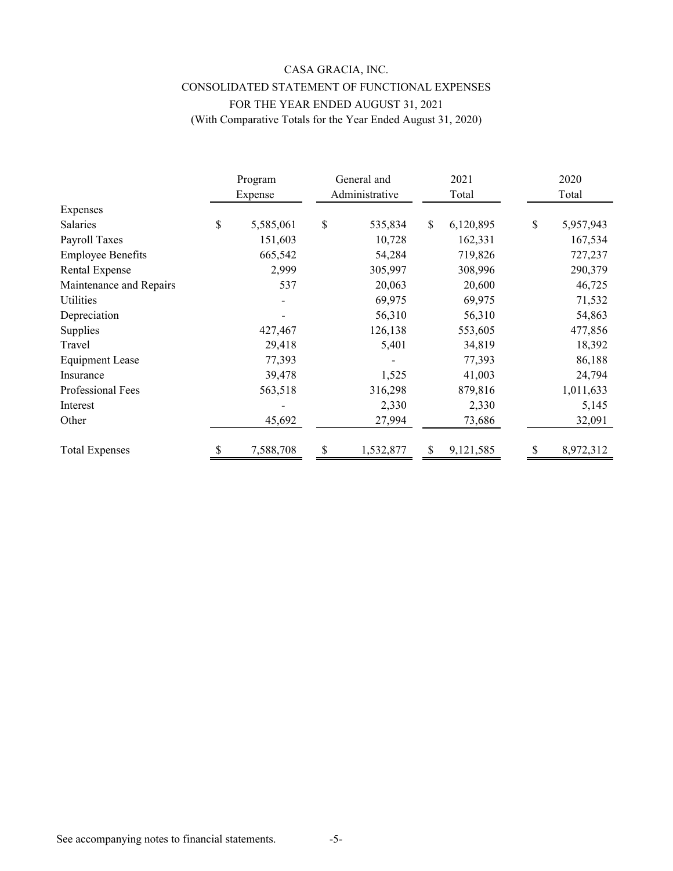# CASA GRACIA, INC. CONSOLIDATED STATEMENT OF FUNCTIONAL EXPENSES FOR THE YEAR ENDED AUGUST 31, 2021 (With Comparative Totals for the Year Ended August 31, 2020)

|                          | Program<br>Expense | General and<br>Administrative |              | 2021<br>Total |    | 2020<br>Total |
|--------------------------|--------------------|-------------------------------|--------------|---------------|----|---------------|
| Expenses                 |                    |                               |              |               |    |               |
| Salaries                 | \$<br>5,585,061    | \$<br>535,834                 | $\mathbb{S}$ | 6,120,895     | \$ | 5,957,943     |
| Payroll Taxes            | 151,603            | 10,728                        |              | 162,331       |    | 167,534       |
| <b>Employee Benefits</b> | 665,542            | 54,284                        |              | 719,826       |    | 727,237       |
| <b>Rental Expense</b>    | 2,999              | 305,997                       |              | 308,996       |    | 290,379       |
| Maintenance and Repairs  | 537                | 20,063                        |              | 20,600        |    | 46,725        |
| Utilities                |                    | 69,975                        |              | 69,975        |    | 71,532        |
| Depreciation             |                    | 56,310                        |              | 56,310        |    | 54,863        |
| Supplies                 | 427,467            | 126,138                       |              | 553,605       |    | 477,856       |
| Travel                   | 29,418             | 5,401                         |              | 34,819        |    | 18,392        |
| <b>Equipment Lease</b>   | 77,393             |                               |              | 77,393        |    | 86,188        |
| Insurance                | 39,478             | 1,525                         |              | 41,003        |    | 24,794        |
| Professional Fees        | 563,518            | 316,298                       |              | 879,816       |    | 1,011,633     |
| Interest                 |                    | 2,330                         |              | 2,330         |    | 5,145         |
| Other                    | 45,692             | 27,994                        |              | 73,686        |    | 32,091        |
| <b>Total Expenses</b>    | 7,588,708          | 1,532,877                     | S            | 9,121,585     |    | 8,972,312     |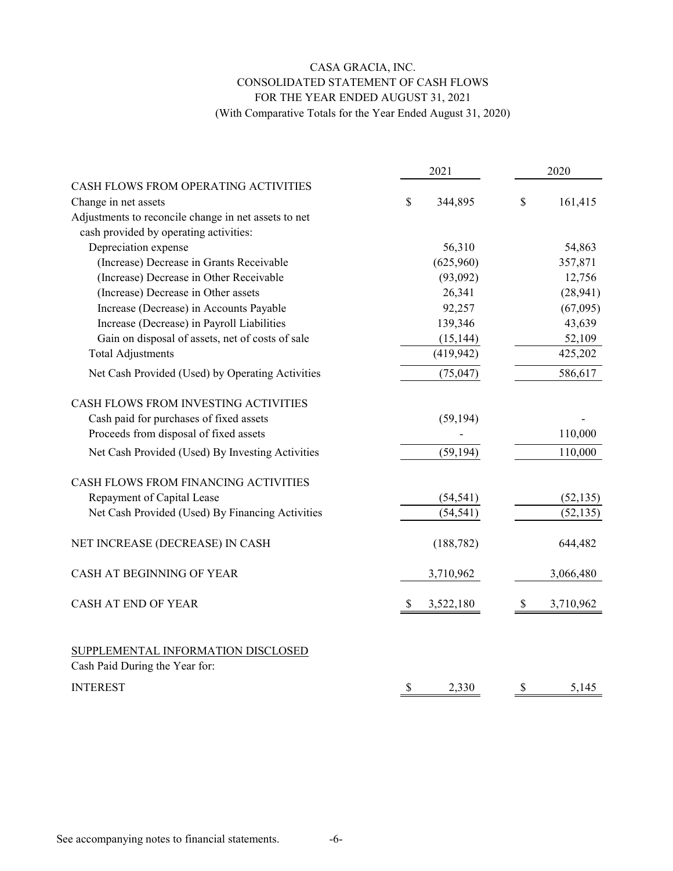# CASA GRACIA, INC. CONSOLIDATED STATEMENT OF CASH FLOWS FOR THE YEAR ENDED AUGUST 31, 2021 (With Comparative Totals for the Year Ended August 31, 2020)

|                                                                      | 2021            | 2020            |
|----------------------------------------------------------------------|-----------------|-----------------|
| CASH FLOWS FROM OPERATING ACTIVITIES                                 |                 |                 |
| Change in net assets                                                 | \$<br>344,895   | \$<br>161,415   |
| Adjustments to reconcile change in net assets to net                 |                 |                 |
| cash provided by operating activities:                               |                 |                 |
| Depreciation expense                                                 | 56,310          | 54,863          |
| (Increase) Decrease in Grants Receivable                             | (625,960)       | 357,871         |
| (Increase) Decrease in Other Receivable                              | (93,092)        | 12,756          |
| (Increase) Decrease in Other assets                                  | 26,341          | (28, 941)       |
| Increase (Decrease) in Accounts Payable                              | 92,257          | (67,095)        |
| Increase (Decrease) in Payroll Liabilities                           | 139,346         | 43,639          |
| Gain on disposal of assets, net of costs of sale                     | (15, 144)       | 52,109          |
| <b>Total Adjustments</b>                                             | (419, 942)      | 425,202         |
| Net Cash Provided (Used) by Operating Activities                     | (75, 047)       | 586,617         |
| CASH FLOWS FROM INVESTING ACTIVITIES                                 |                 |                 |
| Cash paid for purchases of fixed assets                              | (59, 194)       |                 |
| Proceeds from disposal of fixed assets                               |                 | 110,000         |
| Net Cash Provided (Used) By Investing Activities                     | (59, 194)       | 110,000         |
| CASH FLOWS FROM FINANCING ACTIVITIES                                 |                 |                 |
| Repayment of Capital Lease                                           | (54, 541)       | (52, 135)       |
| Net Cash Provided (Used) By Financing Activities                     | (54, 541)       | (52, 135)       |
| NET INCREASE (DECREASE) IN CASH                                      | (188, 782)      | 644,482         |
| CASH AT BEGINNING OF YEAR                                            | 3,710,962       | 3,066,480       |
| <b>CASH AT END OF YEAR</b>                                           | \$<br>3,522,180 | \$<br>3,710,962 |
| SUPPLEMENTAL INFORMATION DISCLOSED<br>Cash Paid During the Year for: |                 |                 |
| <b>INTEREST</b>                                                      | \$<br>2,330     | \$<br>5,145     |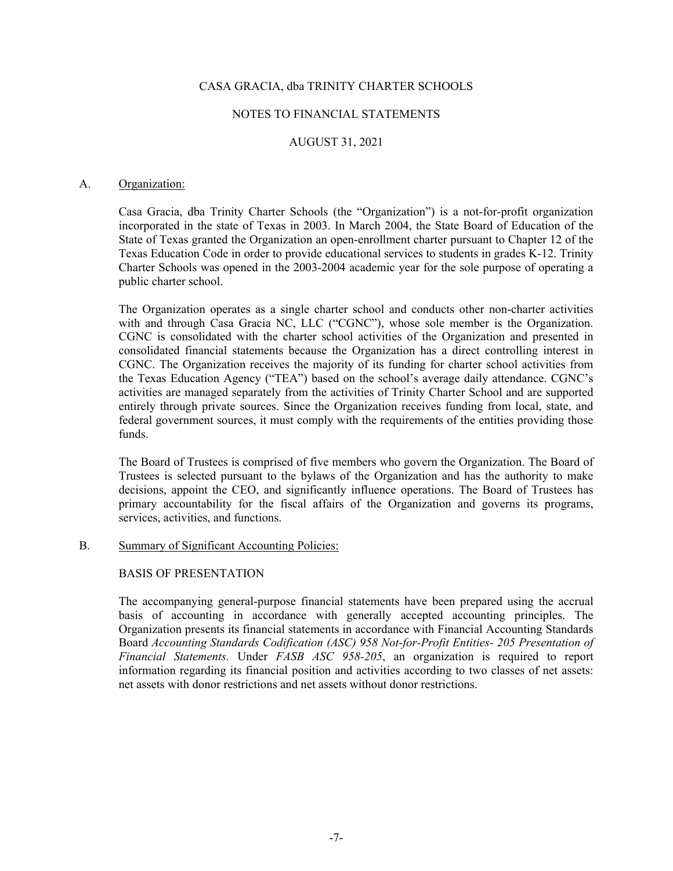## NOTES TO FINANCIAL STATEMENTS

# AUGUST 31, 2021

#### A. Organization:

Casa Gracia, dba Trinity Charter Schools (the "Organization") is a not-for-profit organization incorporated in the state of Texas in 2003. In March 2004, the State Board of Education of the State of Texas granted the Organization an open-enrollment charter pursuant to Chapter 12 of the Texas Education Code in order to provide educational services to students in grades K-12. Trinity Charter Schools was opened in the 2003-2004 academic year for the sole purpose of operating a public charter school.

The Organization operates as a single charter school and conducts other non-charter activities with and through Casa Gracia NC, LLC ("CGNC"), whose sole member is the Organization. CGNC is consolidated with the charter school activities of the Organization and presented in consolidated financial statements because the Organization has a direct controlling interest in CGNC. The Organization receives the majority of its funding for charter school activities from the Texas Education Agency ("TEA") based on the school's average daily attendance. CGNC's activities are managed separately from the activities of Trinity Charter School and are supported entirely through private sources. Since the Organization receives funding from local, state, and federal government sources, it must comply with the requirements of the entities providing those funds.

The Board of Trustees is comprised of five members who govern the Organization. The Board of Trustees is selected pursuant to the bylaws of the Organization and has the authority to make decisions, appoint the CEO, and significantly influence operations. The Board of Trustees has primary accountability for the fiscal affairs of the Organization and governs its programs, services, activities, and functions.

### B. Summary of Significant Accounting Policies:

#### BASIS OF PRESENTATION

The accompanying general-purpose financial statements have been prepared using the accrual basis of accounting in accordance with generally accepted accounting principles. The Organization presents its financial statements in accordance with Financial Accounting Standards Board *Accounting Standards Codification (ASC) 958 Not-for-Profit Entities- 205 Presentation of Financial Statements*. Under *FASB ASC 958-205*, an organization is required to report information regarding its financial position and activities according to two classes of net assets: net assets with donor restrictions and net assets without donor restrictions.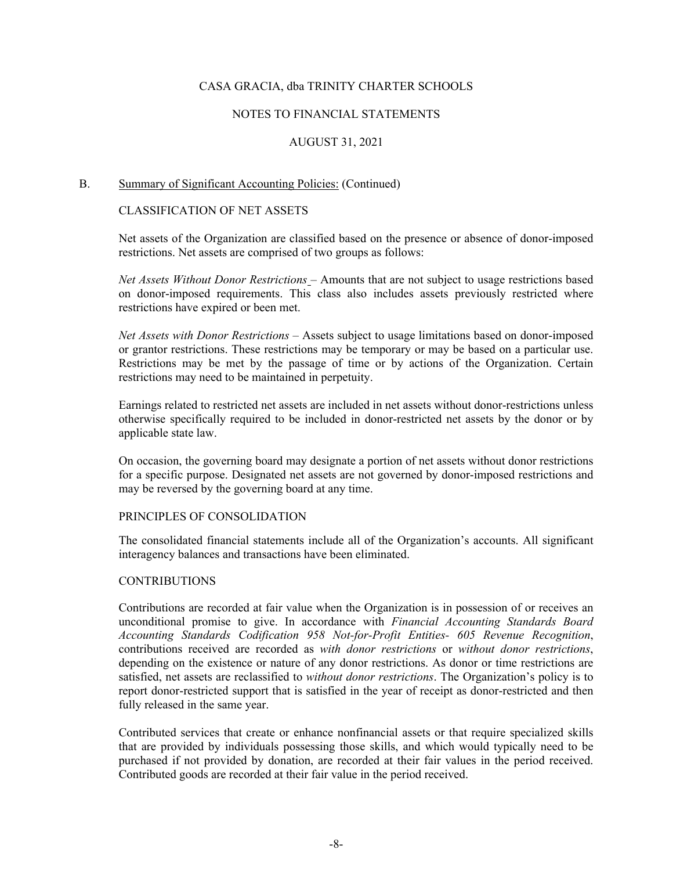## NOTES TO FINANCIAL STATEMENTS

# AUGUST 31, 2021

#### B. Summary of Significant Accounting Policies: (Continued)

## CLASSIFICATION OF NET ASSETS

Net assets of the Organization are classified based on the presence or absence of donor-imposed restrictions. Net assets are comprised of two groups as follows:

*Net Assets Without Donor Restrictions* – Amounts that are not subject to usage restrictions based on donor-imposed requirements. This class also includes assets previously restricted where restrictions have expired or been met.

*Net Assets with Donor Restrictions –* Assets subject to usage limitations based on donor-imposed or grantor restrictions. These restrictions may be temporary or may be based on a particular use. Restrictions may be met by the passage of time or by actions of the Organization. Certain restrictions may need to be maintained in perpetuity.

Earnings related to restricted net assets are included in net assets without donor-restrictions unless otherwise specifically required to be included in donor-restricted net assets by the donor or by applicable state law.

On occasion, the governing board may designate a portion of net assets without donor restrictions for a specific purpose. Designated net assets are not governed by donor-imposed restrictions and may be reversed by the governing board at any time.

# PRINCIPLES OF CONSOLIDATION

The consolidated financial statements include all of the Organization's accounts. All significant interagency balances and transactions have been eliminated.

#### **CONTRIBUTIONS**

Contributions are recorded at fair value when the Organization is in possession of or receives an unconditional promise to give. In accordance with *Financial Accounting Standards Board Accounting Standards Codification 958 Not-for-Profit Entities- 605 Revenue Recognition*, contributions received are recorded as *with donor restrictions* or *without donor restrictions*, depending on the existence or nature of any donor restrictions. As donor or time restrictions are satisfied, net assets are reclassified to *without donor restrictions*. The Organization's policy is to report donor-restricted support that is satisfied in the year of receipt as donor-restricted and then fully released in the same year.

Contributed services that create or enhance nonfinancial assets or that require specialized skills that are provided by individuals possessing those skills, and which would typically need to be purchased if not provided by donation, are recorded at their fair values in the period received. Contributed goods are recorded at their fair value in the period received.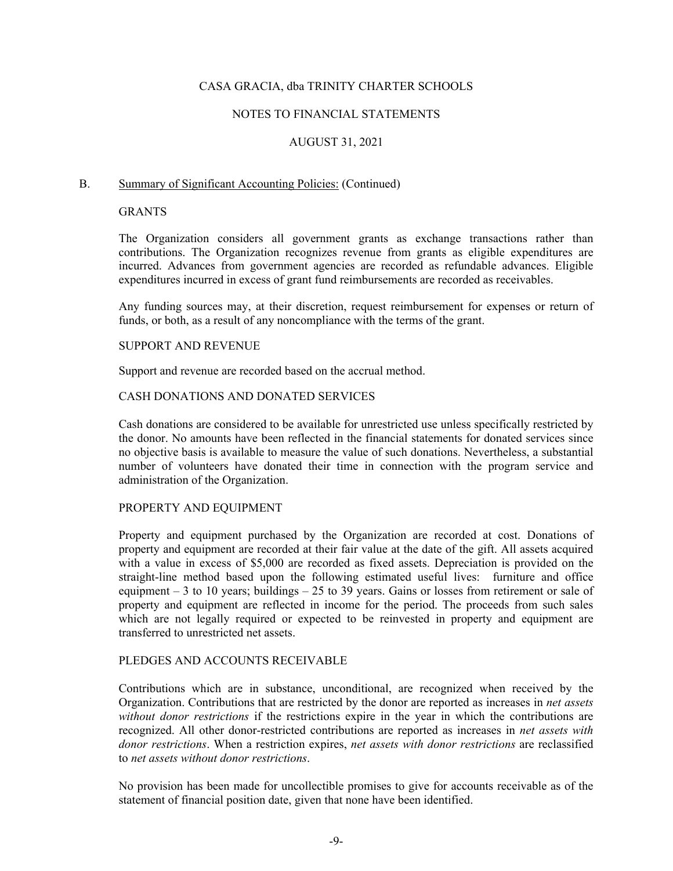## NOTES TO FINANCIAL STATEMENTS

# AUGUST 31, 2021

### B. Summary of Significant Accounting Policies: (Continued)

### **GRANTS**

The Organization considers all government grants as exchange transactions rather than contributions. The Organization recognizes revenue from grants as eligible expenditures are incurred. Advances from government agencies are recorded as refundable advances. Eligible expenditures incurred in excess of grant fund reimbursements are recorded as receivables.

Any funding sources may, at their discretion, request reimbursement for expenses or return of funds, or both, as a result of any noncompliance with the terms of the grant.

## SUPPORT AND REVENUE

Support and revenue are recorded based on the accrual method.

# CASH DONATIONS AND DONATED SERVICES

Cash donations are considered to be available for unrestricted use unless specifically restricted by the donor. No amounts have been reflected in the financial statements for donated services since no objective basis is available to measure the value of such donations. Nevertheless, a substantial number of volunteers have donated their time in connection with the program service and administration of the Organization.

#### PROPERTY AND EQUIPMENT

Property and equipment purchased by the Organization are recorded at cost. Donations of property and equipment are recorded at their fair value at the date of the gift. All assets acquired with a value in excess of \$5,000 are recorded as fixed assets. Depreciation is provided on the straight-line method based upon the following estimated useful lives: furniture and office equipment – 3 to 10 years; buildings – 25 to 39 years. Gains or losses from retirement or sale of property and equipment are reflected in income for the period. The proceeds from such sales which are not legally required or expected to be reinvested in property and equipment are transferred to unrestricted net assets.

#### PLEDGES AND ACCOUNTS RECEIVABLE

Contributions which are in substance, unconditional, are recognized when received by the Organization. Contributions that are restricted by the donor are reported as increases in *net assets without donor restrictions* if the restrictions expire in the year in which the contributions are recognized. All other donor-restricted contributions are reported as increases in *net assets with donor restrictions*. When a restriction expires, *net assets with donor restrictions* are reclassified to *net assets without donor restrictions*.

No provision has been made for uncollectible promises to give for accounts receivable as of the statement of financial position date, given that none have been identified.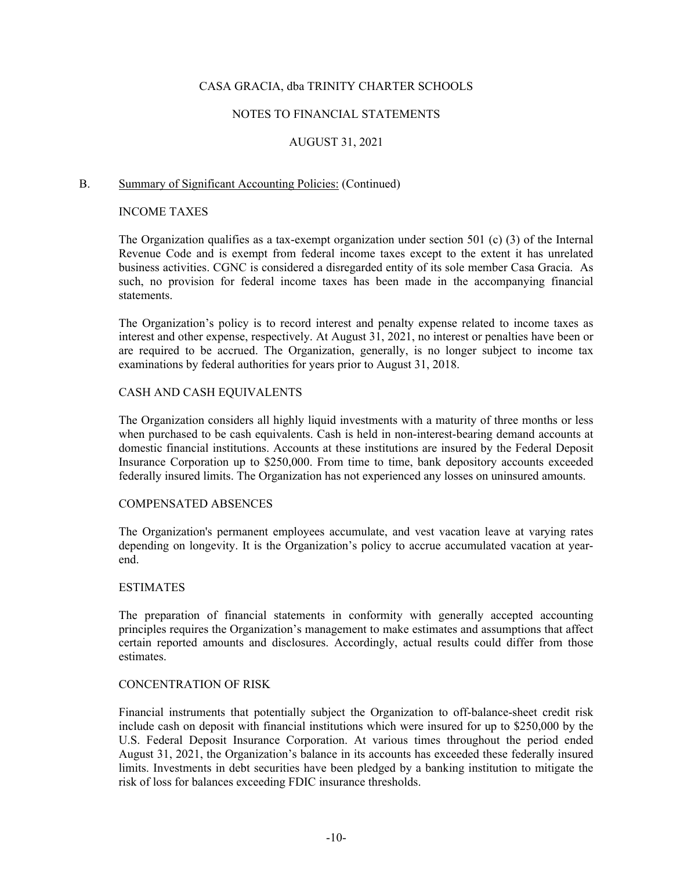## NOTES TO FINANCIAL STATEMENTS

# AUGUST 31, 2021

# B. Summary of Significant Accounting Policies: (Continued)

# INCOME TAXES

The Organization qualifies as a tax-exempt organization under section 501 (c) (3) of the Internal Revenue Code and is exempt from federal income taxes except to the extent it has unrelated business activities. CGNC is considered a disregarded entity of its sole member Casa Gracia. As such, no provision for federal income taxes has been made in the accompanying financial statements.

The Organization's policy is to record interest and penalty expense related to income taxes as interest and other expense, respectively. At August 31, 2021, no interest or penalties have been or are required to be accrued. The Organization, generally, is no longer subject to income tax examinations by federal authorities for years prior to August 31, 2018.

# CASH AND CASH EQUIVALENTS

The Organization considers all highly liquid investments with a maturity of three months or less when purchased to be cash equivalents. Cash is held in non-interest-bearing demand accounts at domestic financial institutions. Accounts at these institutions are insured by the Federal Deposit Insurance Corporation up to \$250,000. From time to time, bank depository accounts exceeded federally insured limits. The Organization has not experienced any losses on uninsured amounts.

### COMPENSATED ABSENCES

The Organization's permanent employees accumulate, and vest vacation leave at varying rates depending on longevity. It is the Organization's policy to accrue accumulated vacation at yearend.

### ESTIMATES

The preparation of financial statements in conformity with generally accepted accounting principles requires the Organization's management to make estimates and assumptions that affect certain reported amounts and disclosures. Accordingly, actual results could differ from those estimates.

## CONCENTRATION OF RISK

Financial instruments that potentially subject the Organization to off-balance-sheet credit risk include cash on deposit with financial institutions which were insured for up to \$250,000 by the U.S. Federal Deposit Insurance Corporation. At various times throughout the period ended August 31, 2021, the Organization's balance in its accounts has exceeded these federally insured limits. Investments in debt securities have been pledged by a banking institution to mitigate the risk of loss for balances exceeding FDIC insurance thresholds.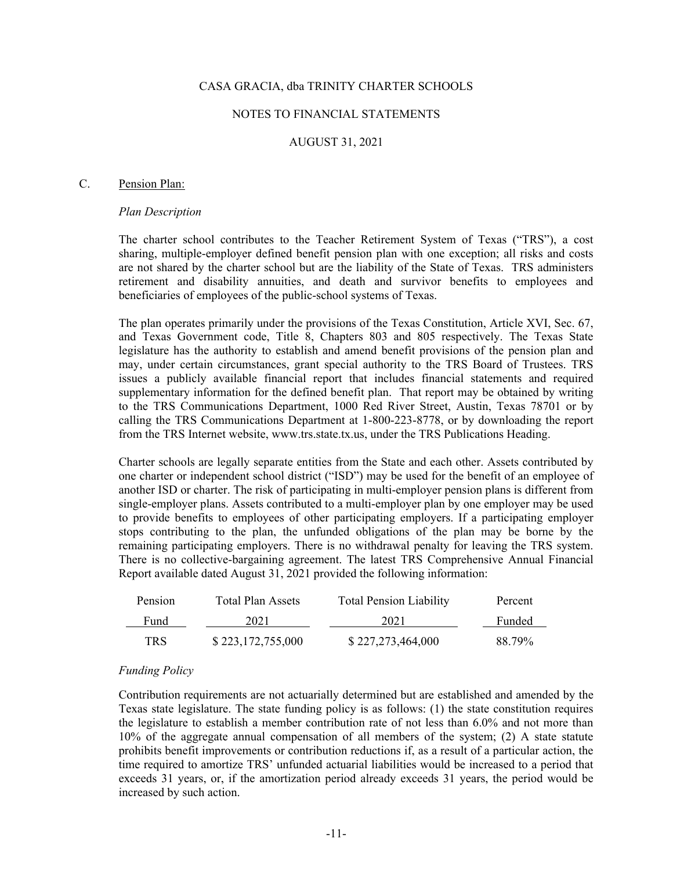#### NOTES TO FINANCIAL STATEMENTS

## AUGUST 31, 2021

#### C. Pension Plan:

#### *Plan Description*

The charter school contributes to the Teacher Retirement System of Texas ("TRS"), a cost sharing, multiple-employer defined benefit pension plan with one exception; all risks and costs are not shared by the charter school but are the liability of the State of Texas. TRS administers retirement and disability annuities, and death and survivor benefits to employees and beneficiaries of employees of the public-school systems of Texas.

The plan operates primarily under the provisions of the Texas Constitution, Article XVI, Sec. 67, and Texas Government code, Title 8, Chapters 803 and 805 respectively. The Texas State legislature has the authority to establish and amend benefit provisions of the pension plan and may, under certain circumstances, grant special authority to the TRS Board of Trustees. TRS issues a publicly available financial report that includes financial statements and required supplementary information for the defined benefit plan. That report may be obtained by writing to the TRS Communications Department, 1000 Red River Street, Austin, Texas 78701 or by calling the TRS Communications Department at 1-800-223-8778, or by downloading the report from the TRS Internet website, www.trs.state.tx.us, under the TRS Publications Heading.

Charter schools are legally separate entities from the State and each other. Assets contributed by one charter or independent school district ("ISD") may be used for the benefit of an employee of another ISD or charter. The risk of participating in multi-employer pension plans is different from single-employer plans. Assets contributed to a multi-employer plan by one employer may be used to provide benefits to employees of other participating employers. If a participating employer stops contributing to the plan, the unfunded obligations of the plan may be borne by the remaining participating employers. There is no withdrawal penalty for leaving the TRS system. There is no collective-bargaining agreement. The latest TRS Comprehensive Annual Financial Report available dated August 31, 2021 provided the following information:

| Pension    | Total Plan Assets | <b>Total Pension Liability</b> | Percent |
|------------|-------------------|--------------------------------|---------|
| Fund       | 2021              | 2021                           | Funded  |
| <b>TRS</b> | \$223,172,755,000 | \$227,273,464,000              | 88.79%  |

#### *Funding Policy*

Contribution requirements are not actuarially determined but are established and amended by the Texas state legislature. The state funding policy is as follows: (1) the state constitution requires the legislature to establish a member contribution rate of not less than 6.0% and not more than 10% of the aggregate annual compensation of all members of the system; (2) A state statute prohibits benefit improvements or contribution reductions if, as a result of a particular action, the time required to amortize TRS' unfunded actuarial liabilities would be increased to a period that exceeds 31 years, or, if the amortization period already exceeds 31 years, the period would be increased by such action.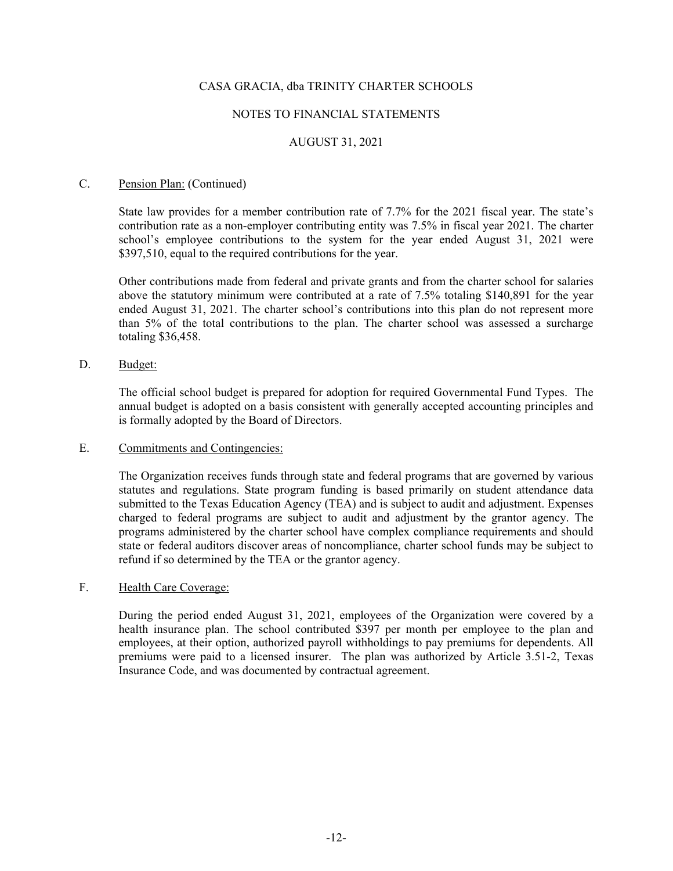## NOTES TO FINANCIAL STATEMENTS

# AUGUST 31, 2021

#### C. Pension Plan: (Continued)

State law provides for a member contribution rate of 7.7% for the 2021 fiscal year. The state's contribution rate as a non-employer contributing entity was 7.5% in fiscal year 2021. The charter school's employee contributions to the system for the year ended August 31, 2021 were \$397,510, equal to the required contributions for the year.

Other contributions made from federal and private grants and from the charter school for salaries above the statutory minimum were contributed at a rate of 7.5% totaling \$140,891 for the year ended August 31, 2021. The charter school's contributions into this plan do not represent more than 5% of the total contributions to the plan. The charter school was assessed a surcharge totaling \$36,458.

D. Budget:

The official school budget is prepared for adoption for required Governmental Fund Types. The annual budget is adopted on a basis consistent with generally accepted accounting principles and is formally adopted by the Board of Directors.

# E. Commitments and Contingencies:

The Organization receives funds through state and federal programs that are governed by various statutes and regulations. State program funding is based primarily on student attendance data submitted to the Texas Education Agency (TEA) and is subject to audit and adjustment. Expenses charged to federal programs are subject to audit and adjustment by the grantor agency. The programs administered by the charter school have complex compliance requirements and should state or federal auditors discover areas of noncompliance, charter school funds may be subject to refund if so determined by the TEA or the grantor agency.

### F. Health Care Coverage:

During the period ended August 31, 2021, employees of the Organization were covered by a health insurance plan. The school contributed \$397 per month per employee to the plan and employees, at their option, authorized payroll withholdings to pay premiums for dependents. All premiums were paid to a licensed insurer. The plan was authorized by Article 3.51-2, Texas Insurance Code, and was documented by contractual agreement.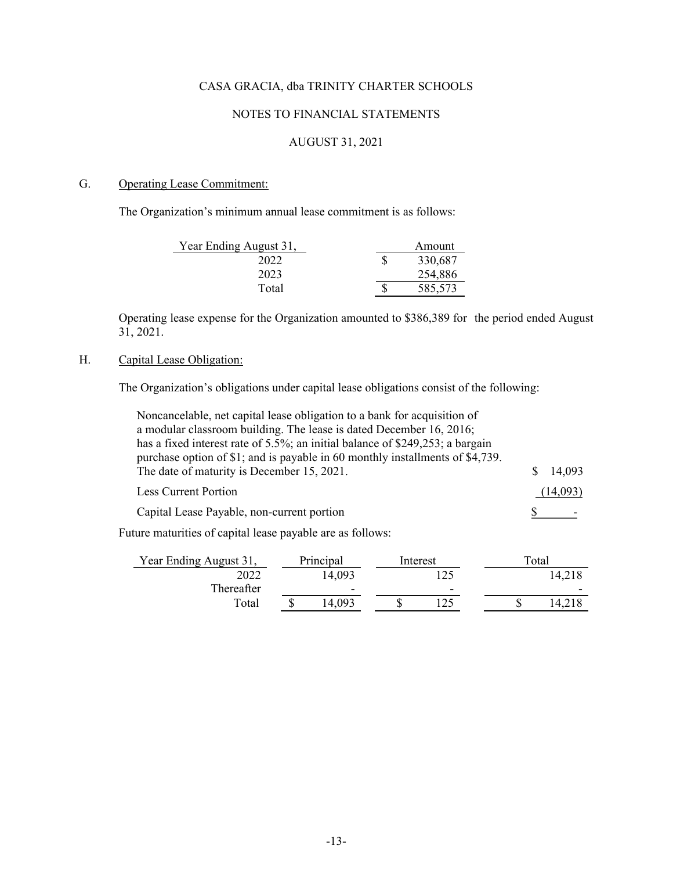# NOTES TO FINANCIAL STATEMENTS

# AUGUST 31, 2021

# G. Operating Lease Commitment:

The Organization's minimum annual lease commitment is as follows:

| Year Ending August 31, | Amount  |
|------------------------|---------|
| 2022                   | 330,687 |
| 2023                   | 254,886 |
| Total                  | 585,573 |

Operating lease expense for the Organization amounted to \$386,389 for the period ended August  $31, 2021.$ 

# H. Capital Lease Obligation:

The Organization's obligations under capital lease obligations consist of the following:

| Noncancelable, net capital lease obligation to a bank for acquisition of                                                                                                                                     |         |          |                    |
|--------------------------------------------------------------------------------------------------------------------------------------------------------------------------------------------------------------|---------|----------|--------------------|
| a modular classroom building. The lease is dated December 16, 2016;                                                                                                                                          |         |          |                    |
| has a fixed interest rate of 5.5%; an initial balance of \$249,253; a bargain<br>purchase option of \$1; and is payable in 60 monthly installments of \$4,739.<br>The date of maturity is December 15, 2021. |         |          | 14,093             |
|                                                                                                                                                                                                              |         |          |                    |
| <b>Less Current Portion</b>                                                                                                                                                                                  |         |          | (14,093)           |
| Capital Lease Payable, non-current portion                                                                                                                                                                   |         |          |                    |
| Future maturities of capital lease payable are as follows:                                                                                                                                                   |         |          |                    |
| Voor Ending August 31                                                                                                                                                                                        | Dirich出 | Interest | T <sub>ofa</sub> 1 |

| Year Ending August 31, | Principal                | Interest                 |  | Total  |
|------------------------|--------------------------|--------------------------|--|--------|
| 2022                   | 4,093                    |                          |  | 14.218 |
| Thereafter             | $\overline{\phantom{0}}$ | $\overline{\phantom{a}}$ |  |        |
| Total                  | -093                     |                          |  |        |
|                        |                          |                          |  |        |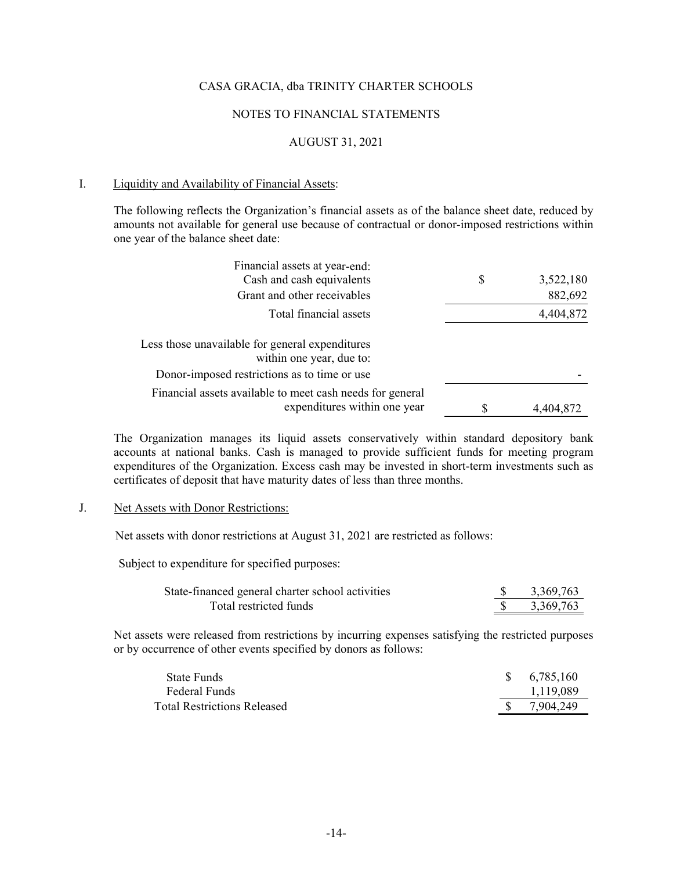#### NOTES TO FINANCIAL STATEMENTS

# AUGUST 31, 2021

#### I. Liquidity and Availability of Financial Assets:

The following reflects the Organization's financial assets as of the balance sheet date, reduced by amounts not available for general use because of contractual or donor-imposed restrictions within one year of the balance sheet date:

| Financial assets at year-end:                                               |   |           |
|-----------------------------------------------------------------------------|---|-----------|
| Cash and cash equivalents                                                   | S | 3,522,180 |
| Grant and other receivables                                                 |   | 882,692   |
| Total financial assets                                                      |   | 4,404,872 |
| Less those unavailable for general expenditures<br>within one year, due to: |   |           |
| Donor-imposed restrictions as to time or use                                |   |           |
| Financial assets available to meet cash needs for general                   |   |           |
| expenditures within one year                                                |   | 4,404,872 |

The Organization manages its liquid assets conservatively within standard depository bank accounts at national banks. Cash is managed to provide sufficient funds for meeting program expenditures of the Organization. Excess cash may be invested in short-term investments such as certificates of deposit that have maturity dates of less than three months.

## J. Net Assets with Donor Restrictions:

Net assets with donor restrictions at August 31, 2021 are restricted as follows:

Subject to expenditure for specified purposes:

| State-financed general charter school activities | 3,369,763 |
|--------------------------------------------------|-----------|
| Total restricted funds                           | 3,369,763 |

Net assets were released from restrictions by incurring expenses satisfying the restricted purposes or by occurrence of other events specified by donors as follows:

| State Funds                        | \$6,785,160 |
|------------------------------------|-------------|
| Federal Funds                      | 1.119.089   |
| <b>Total Restrictions Released</b> | 7.904.249   |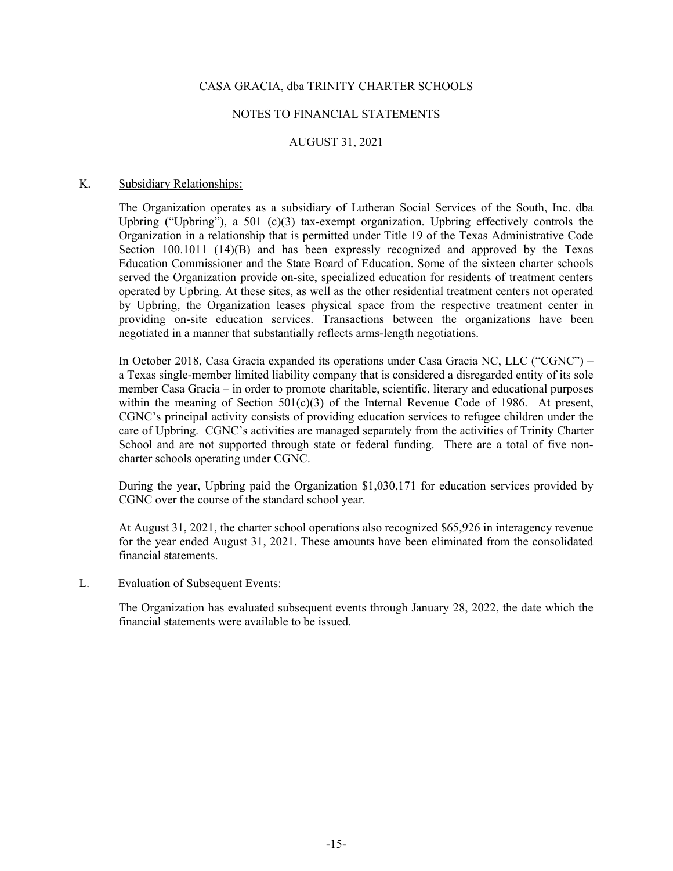## NOTES TO FINANCIAL STATEMENTS

# AUGUST 31, 2021

#### K. Subsidiary Relationships:

The Organization operates as a subsidiary of Lutheran Social Services of the South, Inc. dba Upbring ("Upbring"), a 501 (c)(3) tax-exempt organization. Upbring effectively controls the Organization in a relationship that is permitted under Title 19 of the Texas Administrative Code Section 100.1011 (14)(B) and has been expressly recognized and approved by the Texas Education Commissioner and the State Board of Education. Some of the sixteen charter schools served the Organization provide on-site, specialized education for residents of treatment centers operated by Upbring. At these sites, as well as the other residential treatment centers not operated by Upbring, the Organization leases physical space from the respective treatment center in providing on-site education services. Transactions between the organizations have been negotiated in a manner that substantially reflects arms-length negotiations.

In October 2018, Casa Gracia expanded its operations under Casa Gracia NC, LLC ("CGNC") – a Texas single-member limited liability company that is considered a disregarded entity of its sole member Casa Gracia – in order to promote charitable, scientific, literary and educational purposes within the meaning of Section  $501(c)(3)$  of the Internal Revenue Code of 1986. At present, CGNC's principal activity consists of providing education services to refugee children under the care of Upbring. CGNC's activities are managed separately from the activities of Trinity Charter School and are not supported through state or federal funding. There are a total of five noncharter schools operating under CGNC.

During the year, Upbring paid the Organization \$1,030,171 for education services provided by CGNC over the course of the standard school year.

At August 31, 2021, the charter school operations also recognized \$65,926 in interagency revenue for the year ended August 31, 2021. These amounts have been eliminated from the consolidated financial statements.

#### L. Evaluation of Subsequent Events:

 The Organization has evaluated subsequent events through January 28, 2022, the date which the financial statements were available to be issued.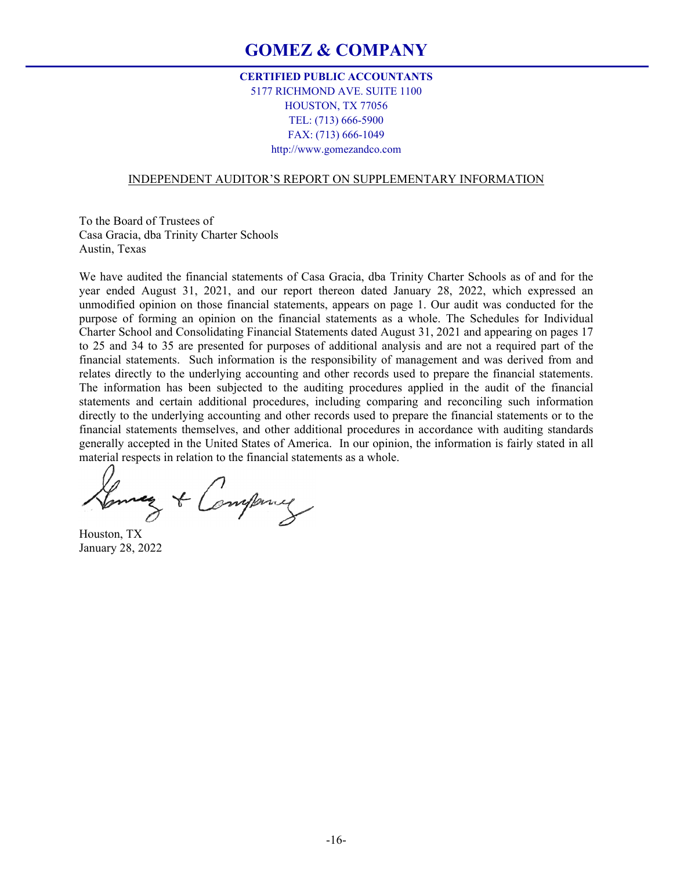# **GOMEZ & COMPANY**

# **CERTIFIED PUBLIC ACCOUNTANTS**  5177 RICHMOND AVE. SUITE 1100 HOUSTON, TX 77056 TEL: (713) 666-5900 FAX: (713) 666-1049 http://www.gomezandco.com

#### INDEPENDENT AUDITOR'S REPORT ON SUPPLEMENTARY INFORMATION

To the Board of Trustees of Casa Gracia, dba Trinity Charter Schools Austin, Texas

We have audited the financial statements of Casa Gracia, dba Trinity Charter Schools as of and for the year ended August 31, 2021, and our report thereon dated January 28, 2022, which expressed an unmodified opinion on those financial statements, appears on page 1. Our audit was conducted for the purpose of forming an opinion on the financial statements as a whole. The Schedules for Individual Charter School and Consolidating Financial Statements dated August 31, 2021 and appearing on pages 17 to 25 and 34 to 35 are presented for purposes of additional analysis and are not a required part of the financial statements. Such information is the responsibility of management and was derived from and relates directly to the underlying accounting and other records used to prepare the financial statements. The information has been subjected to the auditing procedures applied in the audit of the financial statements and certain additional procedures, including comparing and reconciling such information directly to the underlying accounting and other records used to prepare the financial statements or to the financial statements themselves, and other additional procedures in accordance with auditing standards generally accepted in the United States of America. In our opinion, the information is fairly stated in all material respects in relation to the financial statements as a whole.

Lunes & Company

Houston, TX January 28, 2022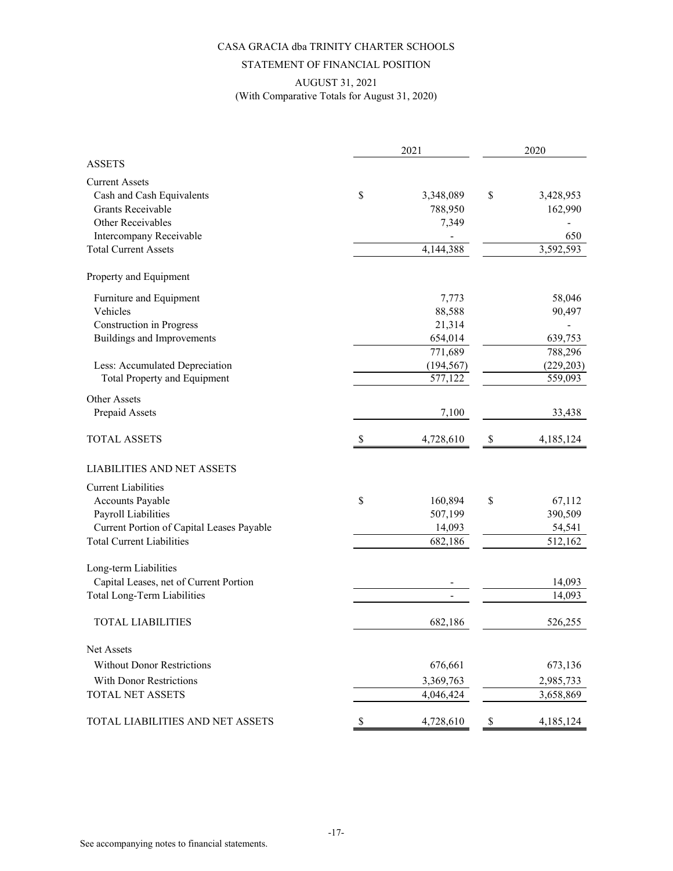## STATEMENT OF FINANCIAL POSITION

# AUGUST 31, 2021 (With Comparative Totals for August 31, 2020)

|                                           |                           | 2021       | 2020                      |            |  |
|-------------------------------------------|---------------------------|------------|---------------------------|------------|--|
| <b>ASSETS</b>                             |                           |            |                           |            |  |
| <b>Current Assets</b>                     |                           |            |                           |            |  |
| Cash and Cash Equivalents                 | \$                        | 3,348,089  | \$                        | 3,428,953  |  |
| Grants Receivable                         |                           | 788,950    |                           | 162,990    |  |
| Other Receivables                         |                           | 7,349      |                           |            |  |
| Intercompany Receivable                   |                           |            |                           | 650        |  |
| <b>Total Current Assets</b>               |                           | 4,144,388  |                           | 3,592,593  |  |
| Property and Equipment                    |                           |            |                           |            |  |
| Furniture and Equipment                   |                           | 7,773      |                           | 58,046     |  |
| Vehicles                                  |                           | 88,588     |                           | 90,497     |  |
| <b>Construction</b> in Progress           |                           | 21,314     |                           |            |  |
| Buildings and Improvements                |                           | 654,014    |                           | 639,753    |  |
|                                           |                           | 771,689    |                           | 788,296    |  |
| Less: Accumulated Depreciation            |                           | (194, 567) |                           | (229, 203) |  |
| Total Property and Equipment              |                           | 577,122    |                           | 559,093    |  |
| Other Assets                              |                           |            |                           |            |  |
| Prepaid Assets                            |                           | 7,100      |                           | 33,438     |  |
| <b>TOTAL ASSETS</b>                       | $\boldsymbol{\mathsf{S}}$ | 4,728,610  | $\boldsymbol{\mathsf{S}}$ | 4,185,124  |  |
| <b>LIABILITIES AND NET ASSETS</b>         |                           |            |                           |            |  |
| <b>Current Liabilities</b>                |                           |            |                           |            |  |
| Accounts Payable                          | \$                        | 160,894    | \$                        | 67,112     |  |
| Payroll Liabilities                       |                           | 507,199    |                           | 390,509    |  |
| Current Portion of Capital Leases Payable |                           | 14,093     |                           | 54,541     |  |
| <b>Total Current Liabilities</b>          |                           | 682,186    |                           | 512,162    |  |
| Long-term Liabilities                     |                           |            |                           |            |  |
| Capital Leases, net of Current Portion    |                           |            |                           | 14,093     |  |
| <b>Total Long-Term Liabilities</b>        |                           |            |                           | 14,093     |  |
| <b>TOTAL LIABILITIES</b>                  |                           | 682,186    |                           | 526,255    |  |
| Net Assets                                |                           |            |                           |            |  |
| <b>Without Donor Restrictions</b>         |                           | 676,661    |                           | 673,136    |  |
|                                           |                           |            |                           |            |  |
| <b>With Donor Restrictions</b>            |                           | 3,369,763  |                           | 2,985,733  |  |
| TOTAL NET ASSETS                          |                           | 4,046,424  |                           | 3,658,869  |  |
| TOTAL LIABILITIES AND NET ASSETS          | \$                        | 4,728,610  | $\$$                      | 4,185,124  |  |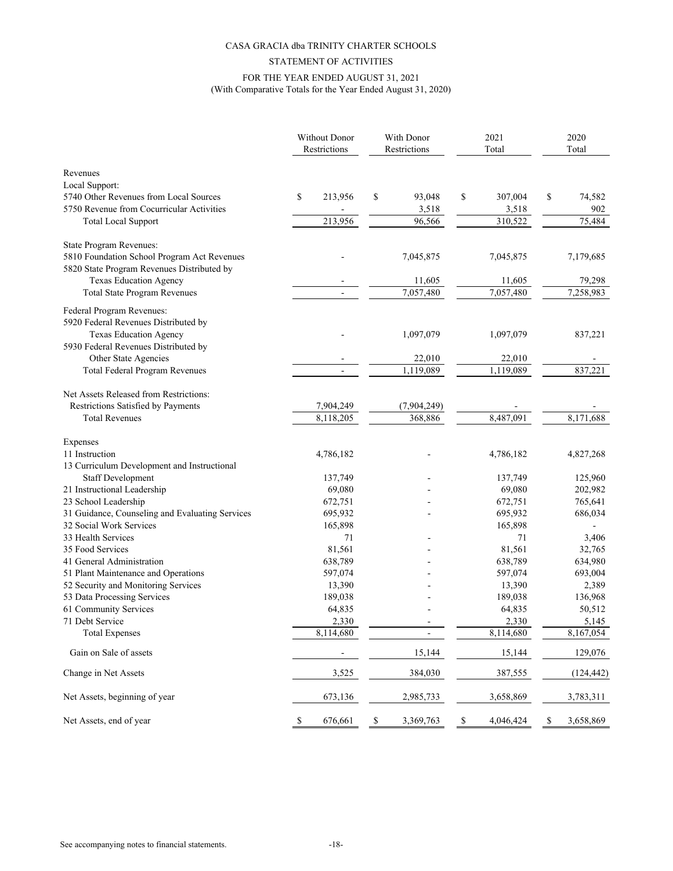# STATEMENT OF ACTIVITIES FOR THE YEAR ENDED AUGUST 31, 2021 (With Comparative Totals for the Year Ended August 31, 2020)

|                                                 | Without Donor<br>Restrictions |    | With Donor<br>Restrictions |    | 2021<br>Total |    | 2020<br>Total |
|-------------------------------------------------|-------------------------------|----|----------------------------|----|---------------|----|---------------|
| Revenues                                        |                               |    |                            |    |               |    |               |
| Local Support:                                  |                               |    |                            |    |               |    |               |
| 5740 Other Revenues from Local Sources          | \$<br>213,956                 | \$ | 93,048                     | \$ | 307,004       | \$ | 74,582        |
| 5750 Revenue from Cocurricular Activities       |                               |    | 3,518                      |    | 3,518         |    | 902           |
| <b>Total Local Support</b>                      | 213,956                       |    | 96,566                     |    | 310,522       |    | 75,484        |
| State Program Revenues:                         |                               |    |                            |    |               |    |               |
| 5810 Foundation School Program Act Revenues     |                               |    | 7,045,875                  |    | 7,045,875     |    | 7,179,685     |
| 5820 State Program Revenues Distributed by      |                               |    |                            |    |               |    |               |
| Texas Education Agency                          |                               |    | 11,605                     |    | 11,605        |    | 79,298        |
| <b>Total State Program Revenues</b>             |                               |    | 7,057,480                  |    | 7,057,480     |    | 7,258,983     |
| Federal Program Revenues:                       |                               |    |                            |    |               |    |               |
| 5920 Federal Revenues Distributed by            |                               |    |                            |    |               |    |               |
| <b>Texas Education Agency</b>                   |                               |    | 1,097,079                  |    | 1,097,079     |    | 837,221       |
| 5930 Federal Revenues Distributed by            |                               |    |                            |    |               |    |               |
| Other State Agencies                            |                               |    | 22,010                     |    | 22,010        |    |               |
| Total Federal Program Revenues                  |                               |    | 1,119,089                  |    | 1,119,089     |    | 837,221       |
|                                                 |                               |    |                            |    |               |    |               |
| Net Assets Released from Restrictions:          |                               |    |                            |    |               |    |               |
| Restrictions Satisfied by Payments              | 7,904,249                     |    | (7,904,249)                |    |               |    |               |
| <b>Total Revenues</b>                           | 8,118,205                     |    | 368,886                    |    | 8,487,091     |    | 8,171,688     |
| Expenses                                        |                               |    |                            |    |               |    |               |
| 11 Instruction                                  | 4,786,182                     |    |                            |    | 4,786,182     |    | 4,827,268     |
| 13 Curriculum Development and Instructional     |                               |    |                            |    |               |    |               |
| <b>Staff Development</b>                        | 137,749                       |    |                            |    | 137,749       |    | 125,960       |
| 21 Instructional Leadership                     | 69,080                        |    |                            |    | 69,080        |    | 202,982       |
| 23 School Leadership                            | 672,751                       |    |                            |    | 672,751       |    | 765,641       |
| 31 Guidance, Counseling and Evaluating Services | 695,932                       |    |                            |    | 695,932       |    | 686,034       |
| 32 Social Work Services                         | 165,898                       |    |                            |    | 165,898       |    |               |
| 33 Health Services                              | 71                            |    |                            |    | 71            |    | 3,406         |
| 35 Food Services                                | 81,561                        |    |                            |    | 81,561        |    | 32,765        |
| 41 General Administration                       | 638,789                       |    |                            |    | 638,789       |    | 634,980       |
| 51 Plant Maintenance and Operations             | 597,074                       |    |                            |    | 597,074       |    | 693,004       |
| 52 Security and Monitoring Services             | 13,390                        |    |                            |    | 13,390        |    | 2,389         |
| 53 Data Processing Services                     | 189,038                       |    |                            |    | 189,038       |    | 136,968       |
| 61 Community Services                           | 64,835                        |    |                            |    | 64,835        |    | 50,512        |
| 71 Debt Service                                 | 2,330                         |    |                            |    | 2,330         |    | 5,145         |
| <b>Total Expenses</b>                           | 8,114,680                     |    |                            |    | 8,114,680     |    | 8,167,054     |
| Gain on Sale of assets                          |                               |    | 15,144                     |    | 15,144        |    | 129,076       |
| Change in Net Assets                            | 3,525                         |    | 384,030                    |    | 387,555       |    |               |
|                                                 |                               |    |                            |    |               |    | (124, 442)    |
| Net Assets, beginning of year                   | 673,136                       |    | 2,985,733                  |    | 3,658,869     |    | 3,783,311     |
| Net Assets, end of year                         | \$<br>676,661                 | \$ | 3,369,763                  | \$ | 4,046,424     | \$ | 3,658,869     |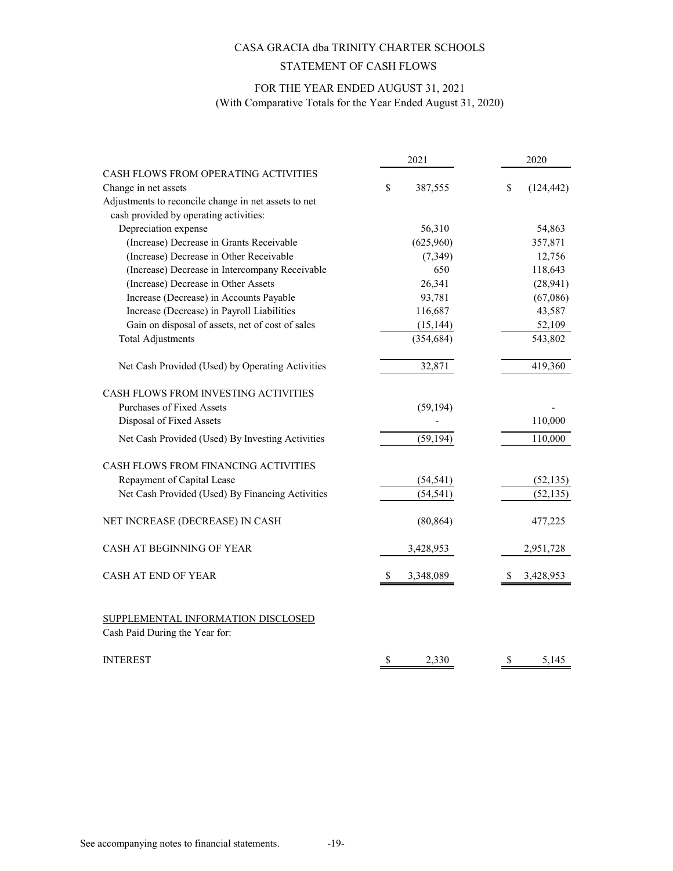# STATEMENT OF CASH FLOWS

# FOR THE YEAR ENDED AUGUST 31, 2021

(With Comparative Totals for the Year Ended August 31, 2020)

|                                                                      | 2021           | 2020             |
|----------------------------------------------------------------------|----------------|------------------|
| CASH FLOWS FROM OPERATING ACTIVITIES                                 |                |                  |
| Change in net assets                                                 | \$<br>387,555  | \$<br>(124, 442) |
| Adjustments to reconcile change in net assets to net                 |                |                  |
| cash provided by operating activities:                               |                |                  |
| Depreciation expense                                                 | 56,310         | 54,863           |
| (Increase) Decrease in Grants Receivable                             | (625,960)      | 357,871          |
| (Increase) Decrease in Other Receivable                              | (7, 349)       | 12,756           |
| (Increase) Decrease in Intercompany Receivable                       | 650            | 118,643          |
| (Increase) Decrease in Other Assets                                  | 26,341         | (28, 941)        |
| Increase (Decrease) in Accounts Payable                              | 93,781         | (67,086)         |
| Increase (Decrease) in Payroll Liabilities                           | 116,687        | 43,587           |
| Gain on disposal of assets, net of cost of sales                     | (15, 144)      | 52,109           |
| <b>Total Adjustments</b>                                             | (354, 684)     | 543,802          |
| Net Cash Provided (Used) by Operating Activities                     | 32,871         | 419,360          |
| CASH FLOWS FROM INVESTING ACTIVITIES                                 |                |                  |
| Purchases of Fixed Assets                                            | (59, 194)      |                  |
| Disposal of Fixed Assets                                             |                | 110,000          |
| Net Cash Provided (Used) By Investing Activities                     | (59, 194)      | 110,000          |
| CASH FLOWS FROM FINANCING ACTIVITIES                                 |                |                  |
| Repayment of Capital Lease                                           | (54, 541)      | (52, 135)        |
| Net Cash Provided (Used) By Financing Activities                     | (54, 541)      | (52, 135)        |
| NET INCREASE (DECREASE) IN CASH                                      | (80, 864)      | 477,225          |
| CASH AT BEGINNING OF YEAR                                            | 3,428,953      | 2,951,728        |
| CASH AT END OF YEAR                                                  | 3,348,089<br>S | 3,428,953        |
| SUPPLEMENTAL INFORMATION DISCLOSED<br>Cash Paid During the Year for: |                |                  |
| <b>INTEREST</b>                                                      | \$<br>2,330    | \$<br>5,145      |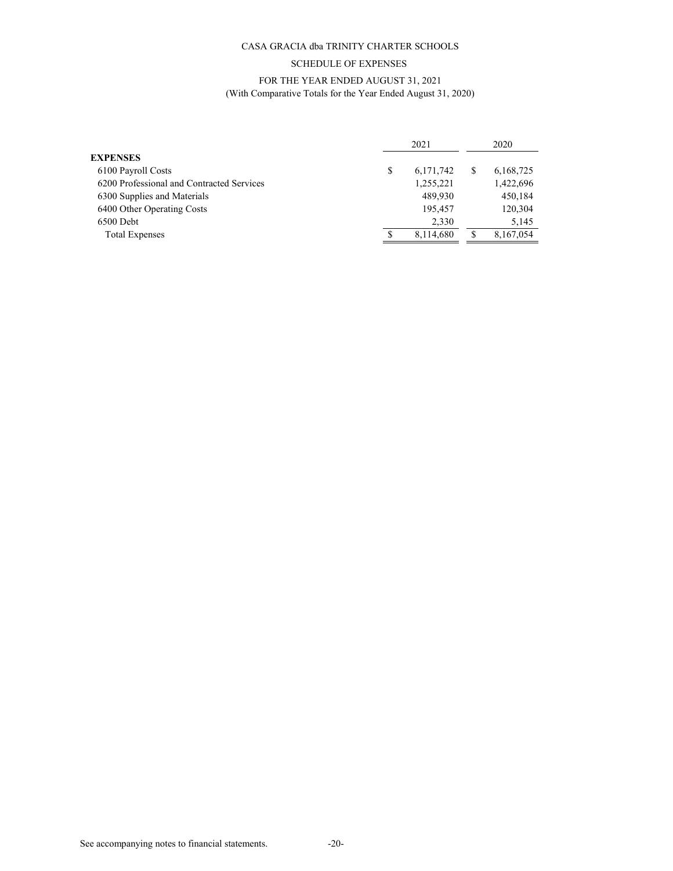## SCHEDULE OF EXPENSES

# FOR THE YEAR ENDED AUGUST 31, 2021

## (With Comparative Totals for the Year Ended August 31, 2020)

|                                           |   | 2021        |   |           |
|-------------------------------------------|---|-------------|---|-----------|
| <b>EXPENSES</b>                           |   |             |   |           |
| 6100 Payroll Costs                        | S | 6, 171, 742 | S | 6,168,725 |
| 6200 Professional and Contracted Services |   | 1,255,221   |   | 1,422,696 |
| 6300 Supplies and Materials               |   | 489.930     |   | 450,184   |
| 6400 Other Operating Costs                |   | 195,457     |   | 120,304   |
| $6500$ Debt                               |   | 2,330       |   | 5,145     |
| <b>Total Expenses</b>                     |   | 8,114,680   |   | 8,167,054 |
|                                           |   |             |   |           |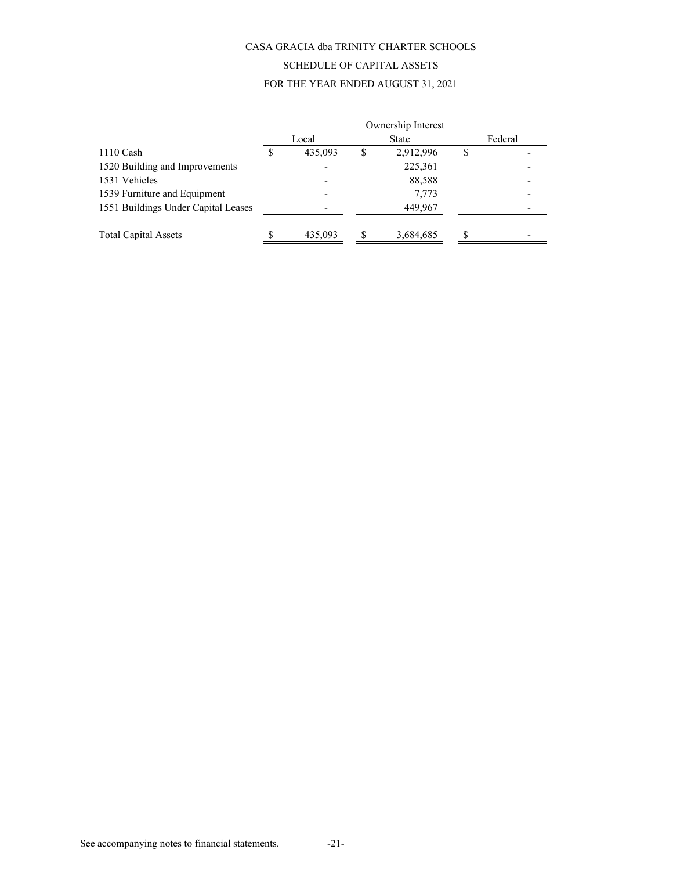# SCHEDULE OF CAPITAL ASSETS

## FOR THE YEAR ENDED AUGUST 31, 2021

|                                     | Ownership Interest |         |   |              |  |         |  |  |
|-------------------------------------|--------------------|---------|---|--------------|--|---------|--|--|
|                                     |                    | Local   |   | <b>State</b> |  | Federal |  |  |
| $1110$ Cash                         |                    | 435,093 | S | 2,912,996    |  |         |  |  |
| 1520 Building and Improvements      |                    |         |   | 225,361      |  |         |  |  |
| 1531 Vehicles                       |                    |         |   | 88,588       |  |         |  |  |
| 1539 Furniture and Equipment        |                    |         |   | 7,773        |  |         |  |  |
| 1551 Buildings Under Capital Leases |                    |         |   | 449,967      |  |         |  |  |
|                                     |                    |         |   |              |  |         |  |  |
| <b>Total Capital Assets</b>         |                    | 435,093 | S | 3,684,685    |  |         |  |  |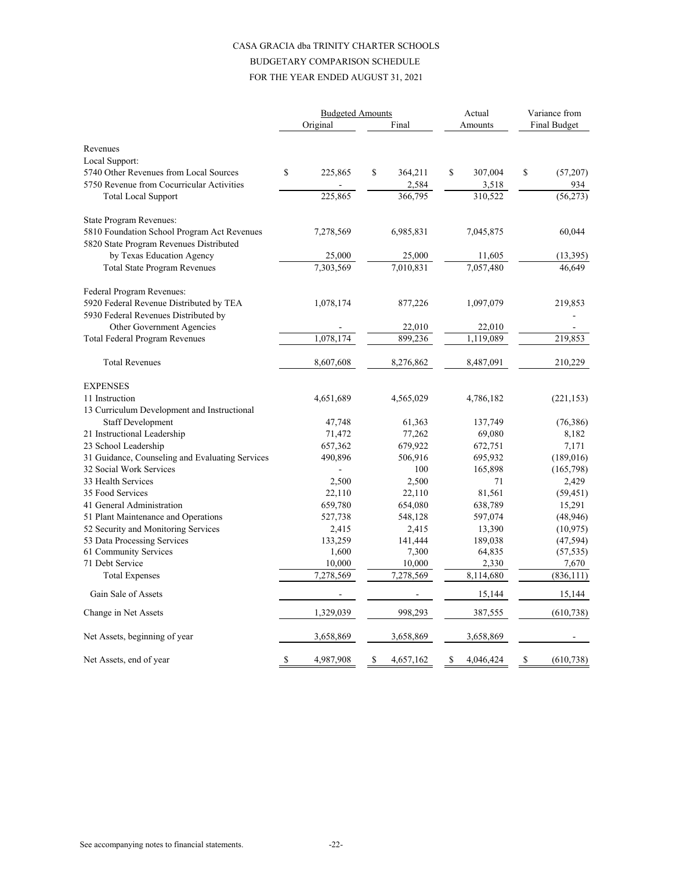# CASA GRACIA dba TRINITY CHARTER SCHOOLS BUDGETARY COMPARISON SCHEDULE

# FOR THE YEAR ENDED AUGUST 31, 2021

|                                                      | <b>Budgeted Amounts</b> |                          |    | Actual           |    | Variance from     |    |                        |
|------------------------------------------------------|-------------------------|--------------------------|----|------------------|----|-------------------|----|------------------------|
|                                                      |                         | Original                 |    | Final            |    | Amounts           |    | <b>Final Budget</b>    |
| Revenues                                             |                         |                          |    |                  |    |                   |    |                        |
| Local Support:                                       |                         |                          |    |                  |    |                   |    |                        |
| 5740 Other Revenues from Local Sources               | \$                      | 225,865                  | \$ | 364,211          | \$ | 307,004           | \$ | (57,207)               |
| 5750 Revenue from Cocurricular Activities            |                         |                          |    | 2,584            |    | 3,518             |    | 934                    |
| <b>Total Local Support</b>                           |                         | 225,865                  |    | 366,795          |    | 310,522           |    | (56, 273)              |
| State Program Revenues:                              |                         |                          |    |                  |    |                   |    |                        |
| 5810 Foundation School Program Act Revenues          |                         | 7,278,569                |    | 6,985,831        |    | 7,045,875         |    | 60,044                 |
| 5820 State Program Revenues Distributed              |                         |                          |    |                  |    |                   |    |                        |
| by Texas Education Agency                            |                         | 25,000                   |    | 25,000           |    | 11,605            |    | (13, 395)              |
| <b>Total State Program Revenues</b>                  |                         | 7.303.569                |    | 7.010.831        |    | 7.057.480         |    | 46,649                 |
| Federal Program Revenues:                            |                         |                          |    |                  |    |                   |    |                        |
| 5920 Federal Revenue Distributed by TEA              |                         | 1,078,174                |    | 877,226          |    | 1,097,079         |    | 219,853                |
| 5930 Federal Revenues Distributed by                 |                         |                          |    |                  |    |                   |    |                        |
| Other Government Agencies                            |                         |                          |    | 22,010           |    | 22,010            |    |                        |
| Total Federal Program Revenues                       |                         | 1,078,174                |    | 899,236          |    | 1,119,089         |    | 219,853                |
| <b>Total Revenues</b>                                |                         | 8,607,608                |    | 8,276,862        |    | 8,487,091         |    | 210,229                |
| <b>EXPENSES</b>                                      |                         |                          |    |                  |    |                   |    |                        |
| 11 Instruction                                       |                         | 4,651,689                |    | 4,565,029        |    | 4,786,182         |    | (221, 153)             |
| 13 Curriculum Development and Instructional          |                         |                          |    |                  |    |                   |    |                        |
| <b>Staff Development</b>                             |                         | 47,748                   |    | 61,363           |    | 137,749           |    | (76, 386)              |
| 21 Instructional Leadership                          |                         | 71,472                   |    | 77,262           |    | 69,080            |    | 8,182                  |
| 23 School Leadership                                 |                         | 657,362                  |    | 679,922          |    | 672,751           |    | 7,171                  |
| 31 Guidance, Counseling and Evaluating Services      |                         | 490,896                  |    | 506,916          |    | 695,932           |    | (189,016)              |
| 32 Social Work Services                              |                         | $\overline{\phantom{0}}$ |    | 100              |    | 165,898           |    | (165,798)              |
| 33 Health Services                                   |                         | 2,500                    |    | 2,500            |    | 71                |    | 2,429                  |
| 35 Food Services                                     |                         | 22,110                   |    | 22,110           |    | 81,561            |    | (59, 451)              |
| 41 General Administration                            |                         | 659,780                  |    | 654,080          |    | 638,789           |    | 15,291                 |
| 51 Plant Maintenance and Operations                  |                         | 527,738                  |    | 548,128          |    | 597,074           |    | (48, 946)              |
| 52 Security and Monitoring Services                  |                         | 2,415                    |    | 2,415            |    | 13,390            |    | (10, 975)              |
| 53 Data Processing Services<br>61 Community Services |                         | 133,259<br>1,600         |    | 141,444<br>7,300 |    | 189,038<br>64,835 |    | (47, 594)<br>(57, 535) |
| 71 Debt Service                                      |                         | 10,000                   |    | 10,000           |    | 2,330             |    | 7,670                  |
| <b>Total Expenses</b>                                |                         | 7,278,569                |    | 7,278,569        |    | 8,114,680         |    | (836, 111)             |
| Gain Sale of Assets                                  |                         |                          |    |                  |    | 15,144            |    | 15,144                 |
| Change in Net Assets                                 |                         | 1,329,039                |    | 998,293          |    | 387,555           |    | (610, 738)             |
| Net Assets, beginning of year                        |                         | 3,658,869                |    | 3,658,869        |    | 3,658,869         |    |                        |
| Net Assets, end of year                              | \$                      | 4,987,908                | \$ | 4,657,162        | \$ | 4,046,424         | \$ | (610, 738)             |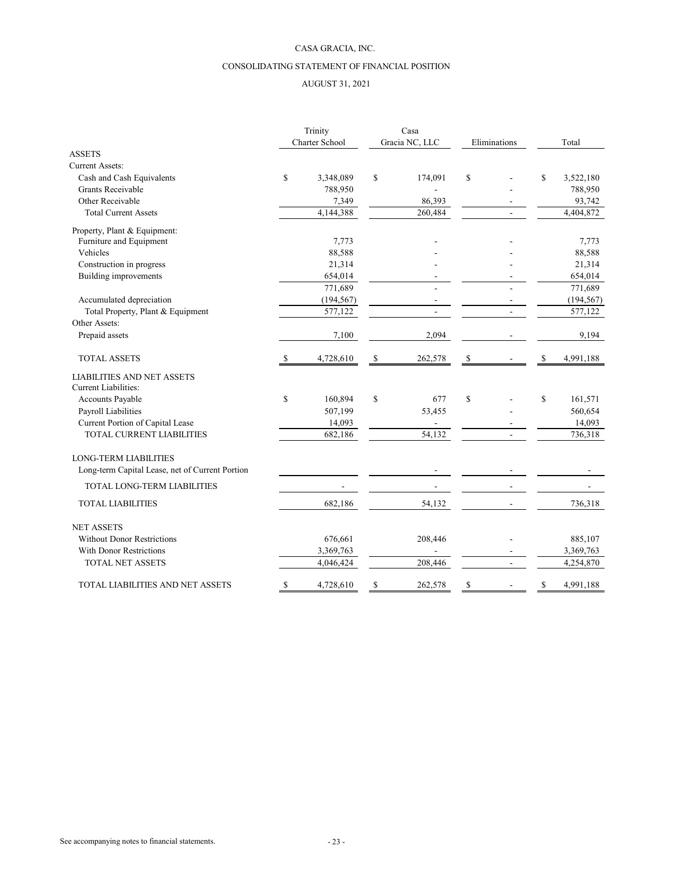## CASA GRACIA, INC.

## CONSOLIDATING STATEMENT OF FINANCIAL POSITION

## AUGUST 31, 2021

|                                                 |    | Trinity<br>Charter School |    | Casa<br>Gracia NC, LLC | Eliminations   |    | Total      |
|-------------------------------------------------|----|---------------------------|----|------------------------|----------------|----|------------|
| <b>ASSETS</b>                                   |    |                           |    |                        |                |    |            |
| <b>Current Assets:</b>                          |    |                           |    |                        |                |    |            |
| Cash and Cash Equivalents                       | \$ | 3,348,089                 | \$ | 174,091                | \$             | \$ | 3,522,180  |
| Grants Receivable                               |    | 788,950                   |    |                        |                |    | 788,950    |
| Other Receivable                                |    | 7,349                     |    | 86,393                 |                |    | 93,742     |
| <b>Total Current Assets</b>                     |    | 4,144,388                 |    | 260,484                |                |    | 4,404,872  |
| Property, Plant & Equipment:                    |    |                           |    |                        |                |    |            |
| Furniture and Equipment                         |    | 7,773                     |    |                        |                |    | 7,773      |
| Vehicles                                        |    | 88,588                    |    |                        |                |    | 88,588     |
| Construction in progress                        |    | 21,314                    |    |                        |                |    | 21,314     |
| <b>Building improvements</b>                    |    | 654,014                   |    |                        |                |    | 654,014    |
|                                                 |    | 771,689                   |    |                        |                |    | 771,689    |
| Accumulated depreciation                        |    | (194, 567)                |    |                        |                |    | (194, 567) |
| Total Property, Plant & Equipment               |    | 577,122                   |    |                        | $\overline{a}$ |    | 577,122    |
| Other Assets:                                   |    |                           |    |                        |                |    |            |
| Prepaid assets                                  |    | 7,100                     |    | 2,094                  |                |    | 9,194      |
| <b>TOTAL ASSETS</b>                             | S  | 4,728,610                 | \$ | 262,578                | \$             | \$ | 4,991,188  |
| <b>LIABILITIES AND NET ASSETS</b>               |    |                           |    |                        |                |    |            |
| <b>Current Liabilities:</b>                     |    |                           |    |                        |                |    |            |
| Accounts Payable                                | \$ | 160,894                   | \$ | 677                    | \$             | \$ | 161,571    |
| Payroll Liabilities                             |    | 507,199                   |    | 53,455                 |                |    | 560,654    |
| Current Portion of Capital Lease                |    | 14,093                    |    |                        |                |    | 14,093     |
| TOTAL CURRENT LIABILITIES                       |    | 682,186                   |    | 54,132                 |                |    | 736,318    |
| <b>LONG-TERM LIABILITIES</b>                    |    |                           |    |                        |                |    |            |
| Long-term Capital Lease, net of Current Portion |    |                           |    |                        |                |    |            |
| <b>TOTAL LONG-TERM LIABILITIES</b>              |    |                           |    |                        |                |    |            |
| <b>TOTAL LIABILITIES</b>                        |    | 682,186                   |    | 54,132                 |                |    | 736,318    |
| <b>NET ASSETS</b>                               |    |                           |    |                        |                |    |            |
| <b>Without Donor Restrictions</b>               |    | 676,661                   |    | 208,446                |                |    | 885,107    |
| <b>With Donor Restrictions</b>                  |    | 3,369,763                 |    |                        |                |    | 3,369,763  |
| <b>TOTAL NET ASSETS</b>                         |    | 4,046,424                 |    | 208,446                |                |    | 4,254,870  |
| TOTAL LIABILITIES AND NET ASSETS                | \$ | 4,728,610                 | S  | 262,578                | \$             | S  | 4,991,188  |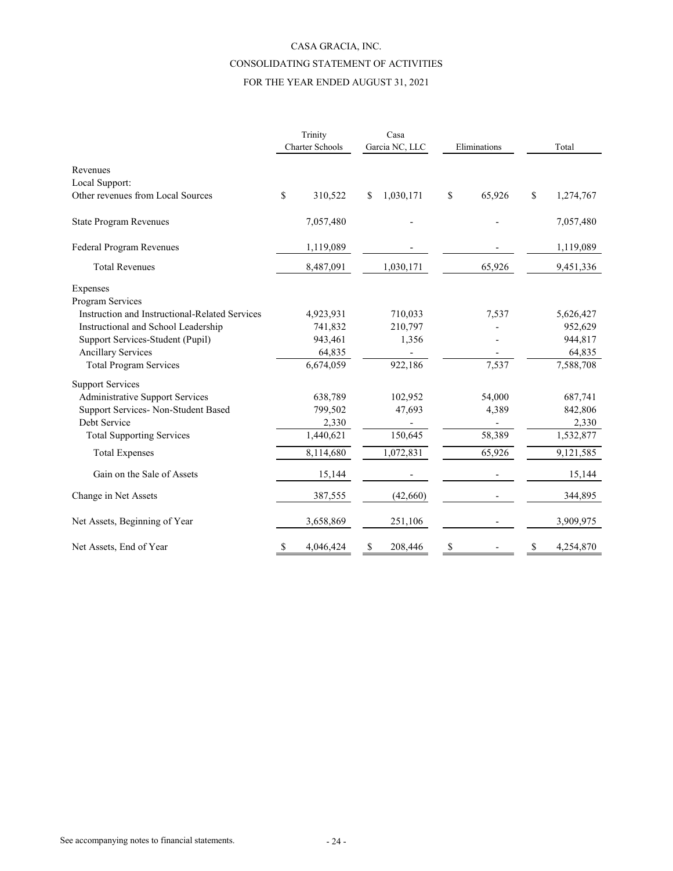# CASA GRACIA, INC. CONSOLIDATING STATEMENT OF ACTIVITIES

# FOR THE YEAR ENDED AUGUST 31, 2021

|                                                | Trinity |                        |    | Casa      |    |                                |    |           |  |       |
|------------------------------------------------|---------|------------------------|----|-----------|----|--------------------------------|----|-----------|--|-------|
|                                                |         | <b>Charter Schools</b> |    |           |    | Garcia NC, LLC<br>Eliminations |    |           |  | Total |
| Revenues                                       |         |                        |    |           |    |                                |    |           |  |       |
| Local Support:                                 |         |                        |    |           |    |                                |    |           |  |       |
| Other revenues from Local Sources              | \$      | 310,522                | \$ | 1,030,171 | \$ | 65,926                         | \$ | 1,274,767 |  |       |
| <b>State Program Revenues</b>                  |         | 7,057,480              |    |           |    |                                |    | 7,057,480 |  |       |
| Federal Program Revenues                       |         | 1,119,089              |    |           |    |                                |    | 1,119,089 |  |       |
| <b>Total Revenues</b>                          |         | 8,487,091              |    | 1,030,171 |    | 65,926                         |    | 9,451,336 |  |       |
| Expenses                                       |         |                        |    |           |    |                                |    |           |  |       |
| Program Services                               |         |                        |    |           |    |                                |    |           |  |       |
| Instruction and Instructional-Related Services |         | 4,923,931              |    | 710,033   |    | 7,537                          |    | 5,626,427 |  |       |
| Instructional and School Leadership            |         | 741,832                |    | 210,797   |    |                                |    | 952,629   |  |       |
| Support Services-Student (Pupil)               |         | 943,461                |    | 1,356     |    |                                |    | 944,817   |  |       |
| <b>Ancillary Services</b>                      |         | 64,835                 |    |           |    |                                |    | 64,835    |  |       |
| <b>Total Program Services</b>                  |         | 6,674,059              |    | 922,186   |    | 7,537                          |    | 7,588,708 |  |       |
| <b>Support Services</b>                        |         |                        |    |           |    |                                |    |           |  |       |
| <b>Administrative Support Services</b>         |         | 638,789                |    | 102,952   |    | 54,000                         |    | 687,741   |  |       |
| Support Services- Non-Student Based            |         | 799,502                |    | 47,693    |    | 4,389                          |    | 842,806   |  |       |
| Debt Service                                   |         | 2,330                  |    |           |    | $\overline{a}$                 |    | 2,330     |  |       |
| <b>Total Supporting Services</b>               |         | 1,440,621              |    | 150,645   |    | 58,389                         |    | 1,532,877 |  |       |
| <b>Total Expenses</b>                          |         | 8,114,680              |    | 1,072,831 |    | 65,926                         |    | 9,121,585 |  |       |
| Gain on the Sale of Assets                     |         | 15,144                 |    |           |    |                                |    | 15,144    |  |       |
| Change in Net Assets                           |         | 387,555                |    | (42,660)  |    |                                |    | 344,895   |  |       |
| Net Assets, Beginning of Year                  |         | 3,658,869              |    | 251,106   |    |                                |    | 3,909,975 |  |       |
| Net Assets, End of Year                        | \$      | 4,046,424              | S  | 208,446   | \$ |                                | S  | 4,254,870 |  |       |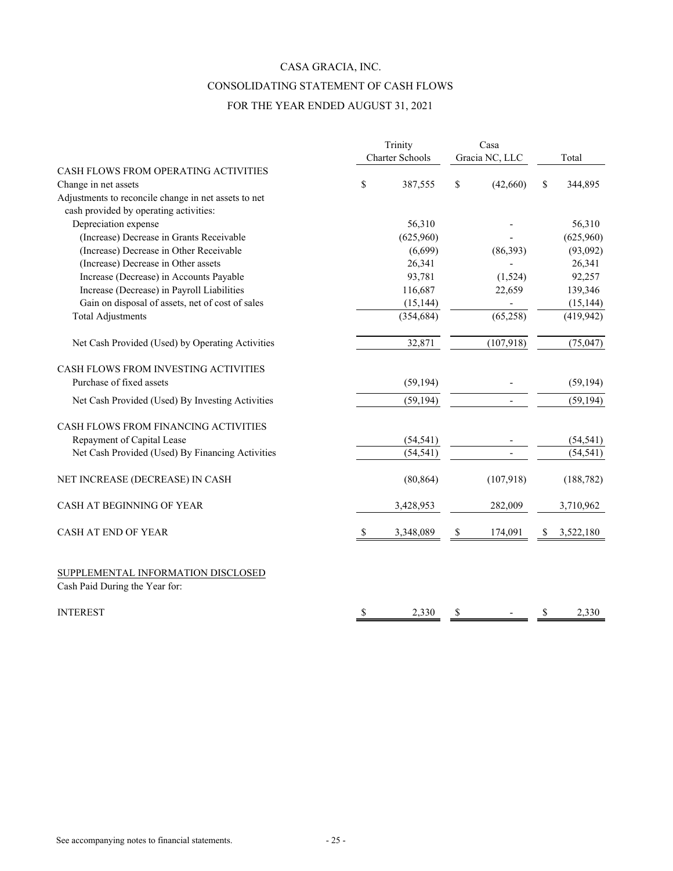# CASA GRACIA, INC. CONSOLIDATING STATEMENT OF CASH FLOWS FOR THE YEAR ENDED AUGUST 31, 2021

|                                                                      | Trinity         |    | Casa           |    |            |  |
|----------------------------------------------------------------------|-----------------|----|----------------|----|------------|--|
|                                                                      | Charter Schools |    | Gracia NC, LLC |    | Total      |  |
| CASH FLOWS FROM OPERATING ACTIVITIES                                 |                 |    |                |    |            |  |
| Change in net assets                                                 | \$<br>387,555   | \$ | (42,660)       | \$ | 344,895    |  |
| Adjustments to reconcile change in net assets to net                 |                 |    |                |    |            |  |
| cash provided by operating activities:                               |                 |    |                |    |            |  |
| Depreciation expense                                                 | 56,310          |    |                |    | 56,310     |  |
| (Increase) Decrease in Grants Receivable                             | (625,960)       |    |                |    | (625,960)  |  |
| (Increase) Decrease in Other Receivable                              | (6,699)         |    | (86, 393)      |    | (93,092)   |  |
| (Increase) Decrease in Other assets                                  | 26,341          |    |                |    | 26,341     |  |
| Increase (Decrease) in Accounts Payable                              | 93,781          |    | (1,524)        |    | 92,257     |  |
| Increase (Decrease) in Payroll Liabilities                           | 116,687         |    | 22,659         |    | 139,346    |  |
| Gain on disposal of assets, net of cost of sales                     | (15, 144)       |    |                |    | (15, 144)  |  |
| <b>Total Adjustments</b>                                             | (354, 684)      |    | (65, 258)      |    | (419, 942) |  |
| Net Cash Provided (Used) by Operating Activities                     | 32,871          |    | (107, 918)     |    | (75, 047)  |  |
| CASH FLOWS FROM INVESTING ACTIVITIES                                 |                 |    |                |    |            |  |
| Purchase of fixed assets                                             | (59, 194)       |    |                |    | (59, 194)  |  |
| Net Cash Provided (Used) By Investing Activities                     | (59, 194)       |    |                |    | (59, 194)  |  |
| CASH FLOWS FROM FINANCING ACTIVITIES                                 |                 |    |                |    |            |  |
| Repayment of Capital Lease                                           | (54, 541)       |    |                |    | (54, 541)  |  |
| Net Cash Provided (Used) By Financing Activities                     | (54, 541)       |    |                |    | (54, 541)  |  |
| NET INCREASE (DECREASE) IN CASH                                      | (80, 864)       |    | (107,918)      |    | (188, 782) |  |
| CASH AT BEGINNING OF YEAR                                            | 3,428,953       |    | 282,009        |    | 3,710,962  |  |
| <b>CASH AT END OF YEAR</b>                                           | \$<br>3,348,089 | \$ | 174,091        | \$ | 3,522,180  |  |
| SUPPLEMENTAL INFORMATION DISCLOSED<br>Cash Paid During the Year for: |                 |    |                |    |            |  |
| <b>INTEREST</b>                                                      | \$<br>2,330     | \$ |                | \$ | 2,330      |  |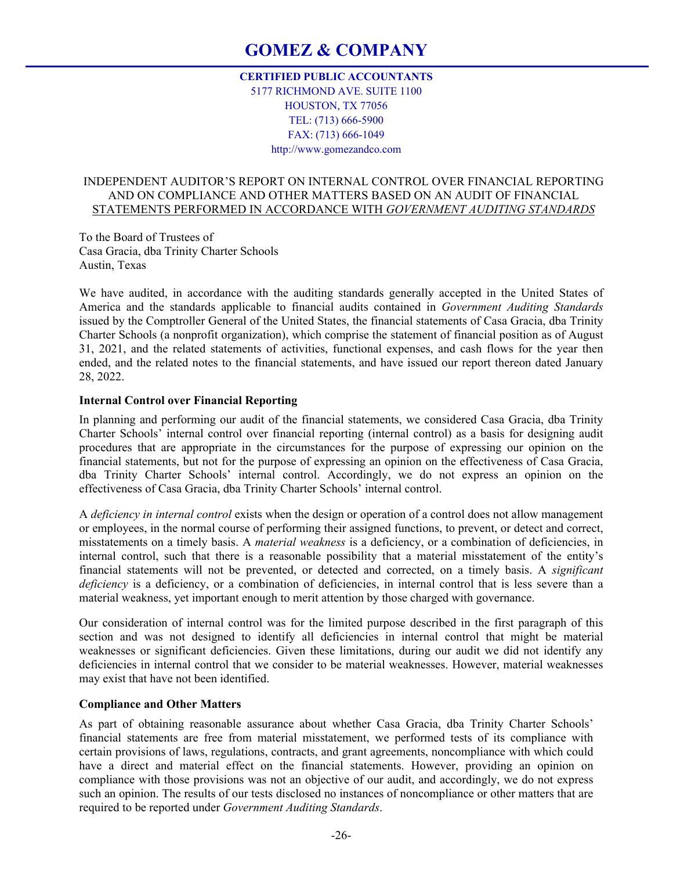# **GOMEZ & COMPANY**

# **CERTIFIED PUBLIC ACCOUNTANTS**  5177 RICHMOND AVE. SUITE 1100 HOUSTON, TX 77056 TEL: (713) 666-5900 FAX: (713) 666-1049 http://www.gomezandco.com

# INDEPENDENT AUDITOR'S REPORT ON INTERNAL CONTROL OVER FINANCIAL REPORTING AND ON COMPLIANCE AND OTHER MATTERS BASED ON AN AUDIT OF FINANCIAL STATEMENTS PERFORMED IN ACCORDANCE WITH *GOVERNMENT AUDITING STANDARDS*

To the Board of Trustees of Casa Gracia, dba Trinity Charter Schools Austin, Texas

We have audited, in accordance with the auditing standards generally accepted in the United States of America and the standards applicable to financial audits contained in *Government Auditing Standards* issued by the Comptroller General of the United States, the financial statements of Casa Gracia, dba Trinity Charter Schools (a nonprofit organization), which comprise the statement of financial position as of August 31, 2021, and the related statements of activities, functional expenses, and cash flows for the year then ended, and the related notes to the financial statements, and have issued our report thereon dated January 28, 2022.

# **Internal Control over Financial Reporting**

In planning and performing our audit of the financial statements, we considered Casa Gracia, dba Trinity Charter Schools' internal control over financial reporting (internal control) as a basis for designing audit procedures that are appropriate in the circumstances for the purpose of expressing our opinion on the financial statements, but not for the purpose of expressing an opinion on the effectiveness of Casa Gracia, dba Trinity Charter Schools' internal control. Accordingly, we do not express an opinion on the effectiveness of Casa Gracia, dba Trinity Charter Schools' internal control.

A *deficiency in internal control* exists when the design or operation of a control does not allow management or employees, in the normal course of performing their assigned functions, to prevent, or detect and correct, misstatements on a timely basis. A *material weakness* is a deficiency, or a combination of deficiencies, in internal control, such that there is a reasonable possibility that a material misstatement of the entity's financial statements will not be prevented, or detected and corrected, on a timely basis. A *significant deficiency* is a deficiency, or a combination of deficiencies, in internal control that is less severe than a material weakness, yet important enough to merit attention by those charged with governance.

Our consideration of internal control was for the limited purpose described in the first paragraph of this section and was not designed to identify all deficiencies in internal control that might be material weaknesses or significant deficiencies. Given these limitations, during our audit we did not identify any deficiencies in internal control that we consider to be material weaknesses. However, material weaknesses may exist that have not been identified.

#### **Compliance and Other Matters**

As part of obtaining reasonable assurance about whether Casa Gracia, dba Trinity Charter Schools' financial statements are free from material misstatement, we performed tests of its compliance with certain provisions of laws, regulations, contracts, and grant agreements, noncompliance with which could have a direct and material effect on the financial statements. However, providing an opinion on compliance with those provisions was not an objective of our audit, and accordingly, we do not express such an opinion. The results of our tests disclosed no instances of noncompliance or other matters that are required to be reported under *Government Auditing Standards*.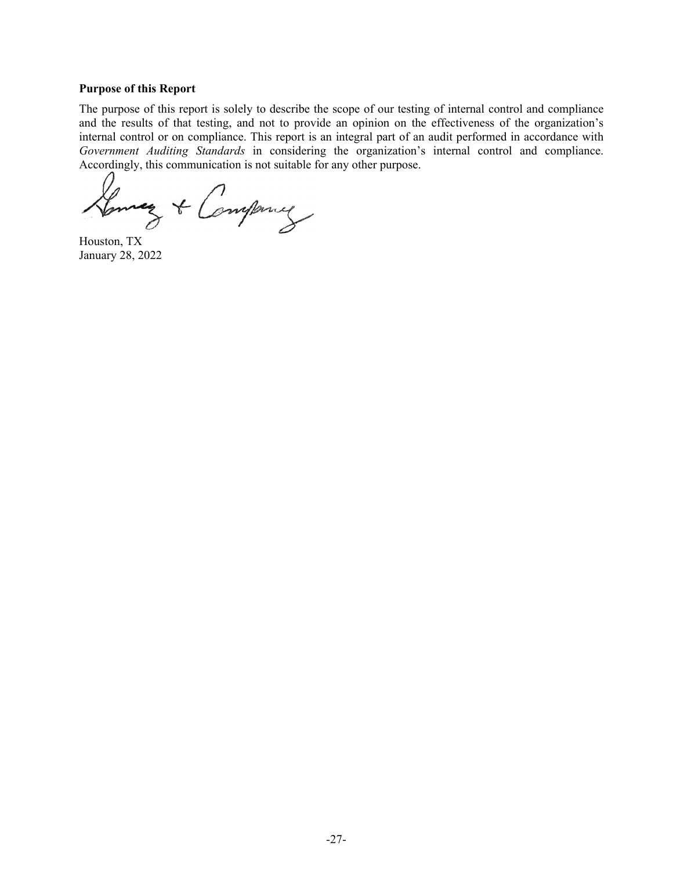#### **Purpose of this Report**

The purpose of this report is solely to describe the scope of our testing of internal control and compliance and the results of that testing, and not to provide an opinion on the effectiveness of the organization's internal control or on compliance. This report is an integral part of an audit performed in accordance with *Government Auditing Standards* in considering the organization's internal control and compliance. Accordingly, this communication is not suitable for any other purpose.

Lenney & Company

Houston, TX January 28, 2022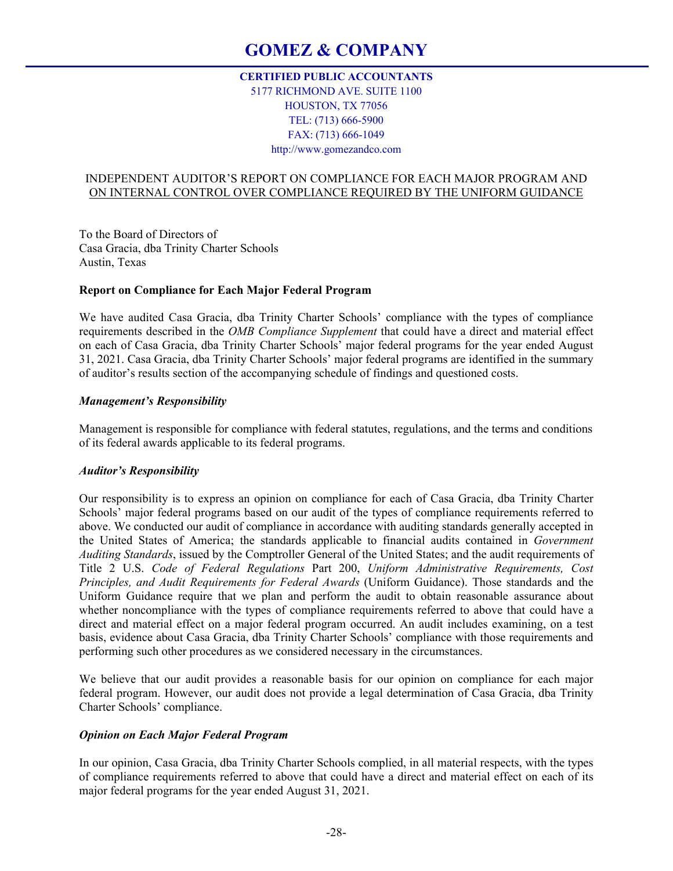# **GOMEZ & COMPANY**

# **CERTIFIED PUBLIC ACCOUNTANTS**  5177 RICHMOND AVE. SUITE 1100 HOUSTON, TX 77056 TEL: (713) 666-5900 FAX: (713) 666-1049 http://www.gomezandco.com

# INDEPENDENT AUDITOR'S REPORT ON COMPLIANCE FOR EACH MAJOR PROGRAM AND ON INTERNAL CONTROL OVER COMPLIANCE REQUIRED BY THE UNIFORM GUIDANCE

To the Board of Directors of Casa Gracia, dba Trinity Charter Schools Austin, Texas

# **Report on Compliance for Each Major Federal Program**

We have audited Casa Gracia, dba Trinity Charter Schools' compliance with the types of compliance requirements described in the *OMB Compliance Supplement* that could have a direct and material effect on each of Casa Gracia, dba Trinity Charter Schools' major federal programs for the year ended August 31, 2021. Casa Gracia, dba Trinity Charter Schools' major federal programs are identified in the summary of auditor's results section of the accompanying schedule of findings and questioned costs.

## *Management's Responsibility*

Management is responsible for compliance with federal statutes, regulations, and the terms and conditions of its federal awards applicable to its federal programs.

# *Auditor's Responsibility*

Our responsibility is to express an opinion on compliance for each of Casa Gracia, dba Trinity Charter Schools' major federal programs based on our audit of the types of compliance requirements referred to above. We conducted our audit of compliance in accordance with auditing standards generally accepted in the United States of America; the standards applicable to financial audits contained in *Government Auditing Standards*, issued by the Comptroller General of the United States; and the audit requirements of Title 2 U.S. *Code of Federal Regulations* Part 200, *Uniform Administrative Requirements, Cost Principles, and Audit Requirements for Federal Awards* (Uniform Guidance). Those standards and the Uniform Guidance require that we plan and perform the audit to obtain reasonable assurance about whether noncompliance with the types of compliance requirements referred to above that could have a direct and material effect on a major federal program occurred. An audit includes examining, on a test basis, evidence about Casa Gracia, dba Trinity Charter Schools' compliance with those requirements and performing such other procedures as we considered necessary in the circumstances.

We believe that our audit provides a reasonable basis for our opinion on compliance for each major federal program. However, our audit does not provide a legal determination of Casa Gracia, dba Trinity Charter Schools' compliance.

#### *Opinion on Each Major Federal Program*

In our opinion, Casa Gracia, dba Trinity Charter Schools complied, in all material respects, with the types of compliance requirements referred to above that could have a direct and material effect on each of its major federal programs for the year ended August 31, 2021.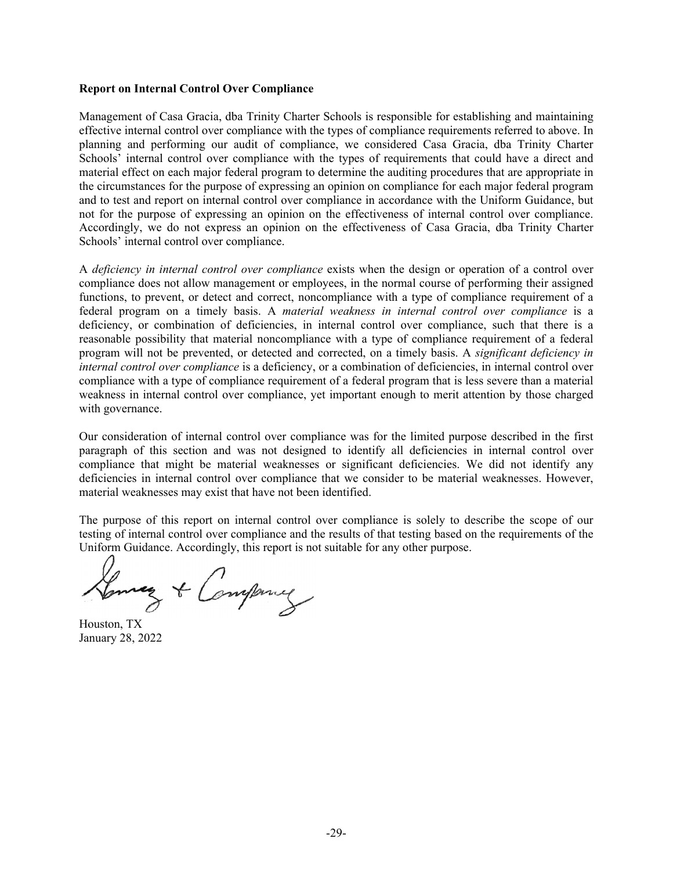# **Report on Internal Control Over Compliance**

Management of Casa Gracia, dba Trinity Charter Schools is responsible for establishing and maintaining effective internal control over compliance with the types of compliance requirements referred to above. In planning and performing our audit of compliance, we considered Casa Gracia, dba Trinity Charter Schools' internal control over compliance with the types of requirements that could have a direct and material effect on each major federal program to determine the auditing procedures that are appropriate in the circumstances for the purpose of expressing an opinion on compliance for each major federal program and to test and report on internal control over compliance in accordance with the Uniform Guidance, but not for the purpose of expressing an opinion on the effectiveness of internal control over compliance. Accordingly, we do not express an opinion on the effectiveness of Casa Gracia, dba Trinity Charter Schools' internal control over compliance.

A *deficiency in internal control over compliance* exists when the design or operation of a control over compliance does not allow management or employees, in the normal course of performing their assigned functions, to prevent, or detect and correct, noncompliance with a type of compliance requirement of a federal program on a timely basis. A *material weakness in internal control over compliance* is a deficiency, or combination of deficiencies, in internal control over compliance, such that there is a reasonable possibility that material noncompliance with a type of compliance requirement of a federal program will not be prevented, or detected and corrected, on a timely basis. A *significant deficiency in internal control over compliance* is a deficiency, or a combination of deficiencies, in internal control over compliance with a type of compliance requirement of a federal program that is less severe than a material weakness in internal control over compliance, yet important enough to merit attention by those charged with governance.

Our consideration of internal control over compliance was for the limited purpose described in the first paragraph of this section and was not designed to identify all deficiencies in internal control over compliance that might be material weaknesses or significant deficiencies. We did not identify any deficiencies in internal control over compliance that we consider to be material weaknesses. However, material weaknesses may exist that have not been identified.

The purpose of this report on internal control over compliance is solely to describe the scope of our testing of internal control over compliance and the results of that testing based on the requirements of the Uniform Guidance. Accordingly, this report is not suitable for any other purpose.

Lonney & Company

Houston, TX January 28, 2022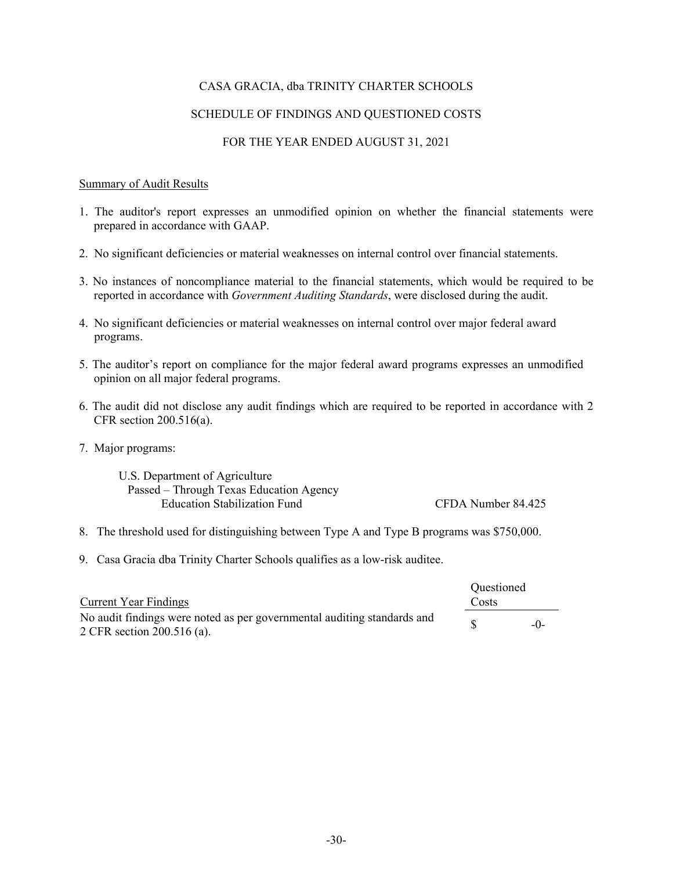# SCHEDULE OF FINDINGS AND QUESTIONED COSTS

# FOR THE YEAR ENDED AUGUST 31, 2021

# Summary of Audit Results

- 1. The auditor's report expresses an unmodified opinion on whether the financial statements were prepared in accordance with GAAP.
- 2. No significant deficiencies or material weaknesses on internal control over financial statements.
- 3. No instances of noncompliance material to the financial statements, which would be required to be reported in accordance with *Government Auditing Standards*, were disclosed during the audit.
- 4. No significant deficiencies or material weaknesses on internal control over major federal award programs.
- 5. The auditor's report on compliance for the major federal award programs expresses an unmodified opinion on all major federal programs.
- 6. The audit did not disclose any audit findings which are required to be reported in accordance with 2 CFR section 200.516(a).
- 7. Major programs:

U.S. Department of Agriculture Passed – Through Texas Education Agency Education Stabilization Fund CFDA Number 84.425

- 8. The threshold used for distinguishing between Type A and Type B programs was \$750,000.
- 9. Casa Gracia dba Trinity Charter Schools qualifies as a low-risk auditee.

|                                                                         | <b>Ouestioned</b> |       |
|-------------------------------------------------------------------------|-------------------|-------|
| Current Year Findings                                                   | Costs             |       |
| No audit findings were noted as per governmental auditing standards and |                   | $-()$ |
| 2 CFR section 200.516 (a).                                              |                   |       |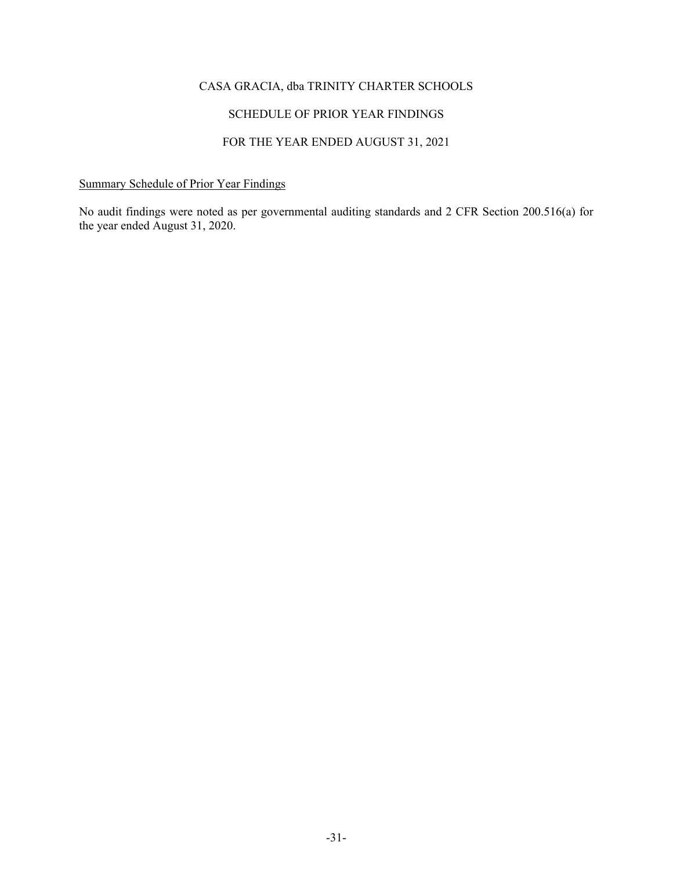# SCHEDULE OF PRIOR YEAR FINDINGS

# FOR THE YEAR ENDED AUGUST 31, 2021

# Summary Schedule of Prior Year Findings

No audit findings were noted as per governmental auditing standards and 2 CFR Section 200.516(a) for the year ended August 31, 2020.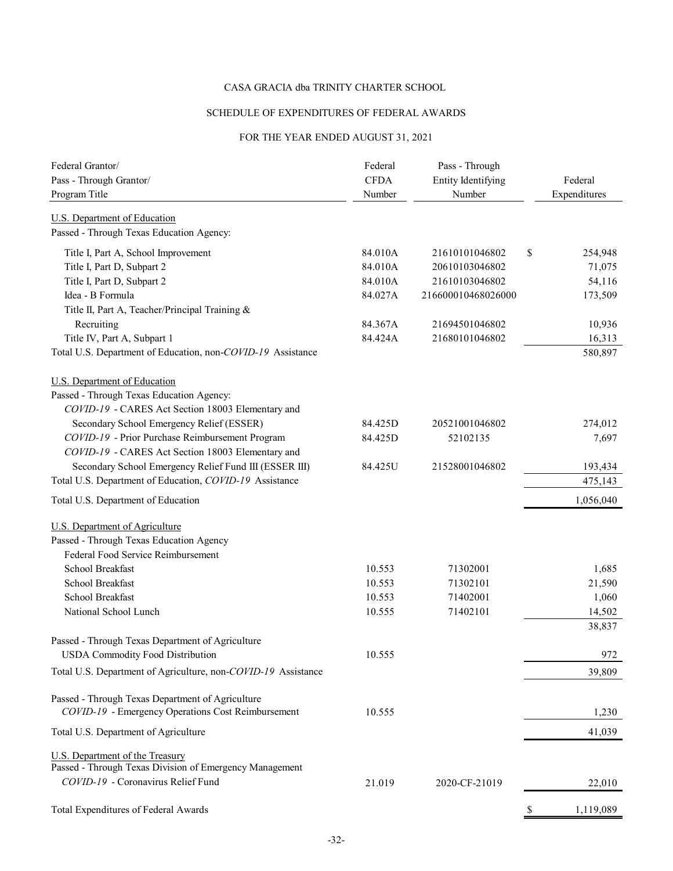# SCHEDULE OF EXPENDITURES OF FEDERAL AWARDS

# FOR THE YEAR ENDED AUGUST 31, 2021

| Federal Grantor/<br>Pass - Through Grantor/                                                 | Federal<br><b>CFDA</b> | Pass - Through<br><b>Entity Identifying</b> |    | Federal      |
|---------------------------------------------------------------------------------------------|------------------------|---------------------------------------------|----|--------------|
| Program Title                                                                               | Number                 | Number                                      |    | Expenditures |
| <b>U.S. Department of Education</b><br>Passed - Through Texas Education Agency:             |                        |                                             |    |              |
| Title I, Part A, School Improvement                                                         | 84.010A                | 21610101046802                              | S  | 254,948      |
| Title I, Part D, Subpart 2                                                                  | 84.010A                | 20610103046802                              |    | 71,075       |
| Title I, Part D, Subpart 2                                                                  | 84.010A                | 21610103046802                              |    | 54,116       |
| Idea - B Formula                                                                            | 84.027A                | 216600010468026000                          |    | 173,509      |
| Title II, Part A, Teacher/Principal Training &                                              |                        |                                             |    |              |
| Recruiting                                                                                  | 84.367A                | 21694501046802                              |    | 10,936       |
| Title IV, Part A, Subpart 1                                                                 | 84.424A                | 21680101046802                              |    | 16,313       |
| Total U.S. Department of Education, non-COVID-19 Assistance                                 |                        |                                             |    | 580,897      |
| U.S. Department of Education                                                                |                        |                                             |    |              |
| Passed - Through Texas Education Agency:                                                    |                        |                                             |    |              |
| COVID-19 - CARES Act Section 18003 Elementary and                                           |                        |                                             |    |              |
| Secondary School Emergency Relief (ESSER)                                                   | 84.425D                | 20521001046802                              |    | 274,012      |
| COVID-19 - Prior Purchase Reimbursement Program                                             | 84.425D                | 52102135                                    |    | 7,697        |
| COVID-19 - CARES Act Section 18003 Elementary and                                           |                        |                                             |    |              |
| Secondary School Emergency Relief Fund III (ESSER III)                                      | 84.425U                | 21528001046802                              |    | 193,434      |
| Total U.S. Department of Education, COVID-19 Assistance                                     |                        |                                             |    | 475,143      |
| Total U.S. Department of Education                                                          |                        |                                             |    | 1,056,040    |
| <b>U.S. Department of Agriculture</b>                                                       |                        |                                             |    |              |
| Passed - Through Texas Education Agency                                                     |                        |                                             |    |              |
| Federal Food Service Reimbursement                                                          |                        |                                             |    |              |
| School Breakfast                                                                            | 10.553                 | 71302001                                    |    | 1,685        |
| School Breakfast                                                                            | 10.553                 | 71302101                                    |    | 21,590       |
| School Breakfast                                                                            | 10.553                 | 71402001                                    |    | 1,060        |
| National School Lunch                                                                       | 10.555                 | 71402101                                    |    | 14,502       |
|                                                                                             |                        |                                             |    | 38,837       |
| Passed - Through Texas Department of Agriculture<br><b>USDA Commodity Food Distribution</b> | 10.555                 |                                             |    | 972          |
| Total U.S. Department of Agriculture, non-COVID-19 Assistance                               |                        |                                             |    | 39,809       |
|                                                                                             |                        |                                             |    |              |
| Passed - Through Texas Department of Agriculture                                            |                        |                                             |    |              |
| COVID-19 - Emergency Operations Cost Reimbursement                                          | 10.555                 |                                             |    | 1,230        |
| Total U.S. Department of Agriculture                                                        |                        |                                             |    | 41,039       |
| U.S. Department of the Treasury                                                             |                        |                                             |    |              |
| Passed - Through Texas Division of Emergency Management                                     |                        |                                             |    |              |
| COVID-19 - Coronavirus Relief Fund                                                          | 21.019                 | 2020-CF-21019                               |    | 22,010       |
| Total Expenditures of Federal Awards                                                        |                        |                                             | \$ | 1,119,089    |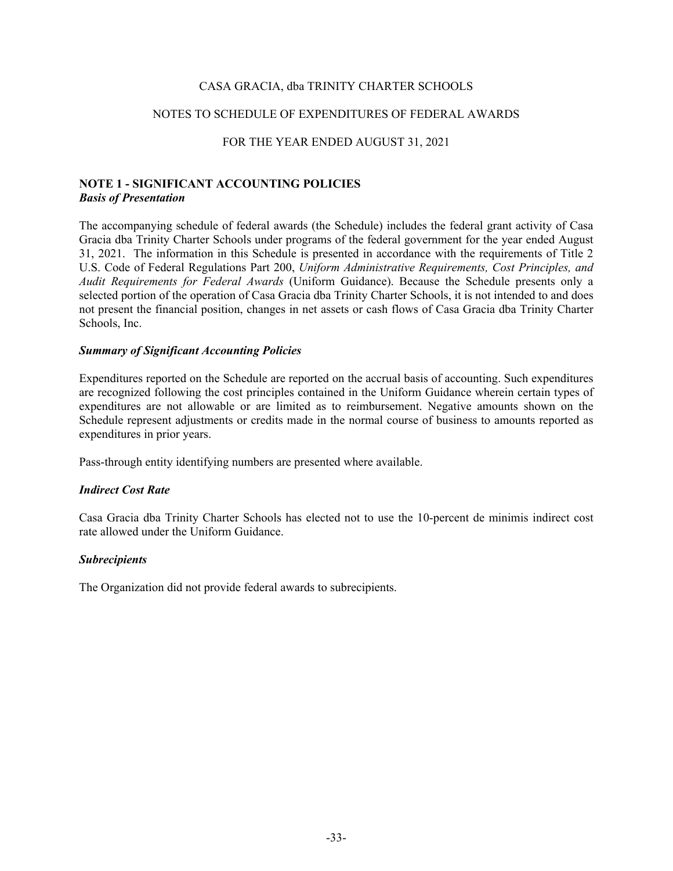### NOTES TO SCHEDULE OF EXPENDITURES OF FEDERAL AWARDS

# FOR THE YEAR ENDED AUGUST 31, 2021

# **NOTE 1 - SIGNIFICANT ACCOUNTING POLICIES**  *Basis of Presentation*

The accompanying schedule of federal awards (the Schedule) includes the federal grant activity of Casa Gracia dba Trinity Charter Schools under programs of the federal government for the year ended August 31, 2021. The information in this Schedule is presented in accordance with the requirements of Title 2 U.S. Code of Federal Regulations Part 200, *Uniform Administrative Requirements, Cost Principles, and Audit Requirements for Federal Awards* (Uniform Guidance). Because the Schedule presents only a selected portion of the operation of Casa Gracia dba Trinity Charter Schools, it is not intended to and does not present the financial position, changes in net assets or cash flows of Casa Gracia dba Trinity Charter Schools, Inc.

#### *Summary of Significant Accounting Policies*

Expenditures reported on the Schedule are reported on the accrual basis of accounting. Such expenditures are recognized following the cost principles contained in the Uniform Guidance wherein certain types of expenditures are not allowable or are limited as to reimbursement. Negative amounts shown on the Schedule represent adjustments or credits made in the normal course of business to amounts reported as expenditures in prior years.

Pass-through entity identifying numbers are presented where available.

#### *Indirect Cost Rate*

Casa Gracia dba Trinity Charter Schools has elected not to use the 10-percent de minimis indirect cost rate allowed under the Uniform Guidance.

#### *Subrecipients*

The Organization did not provide federal awards to subrecipients.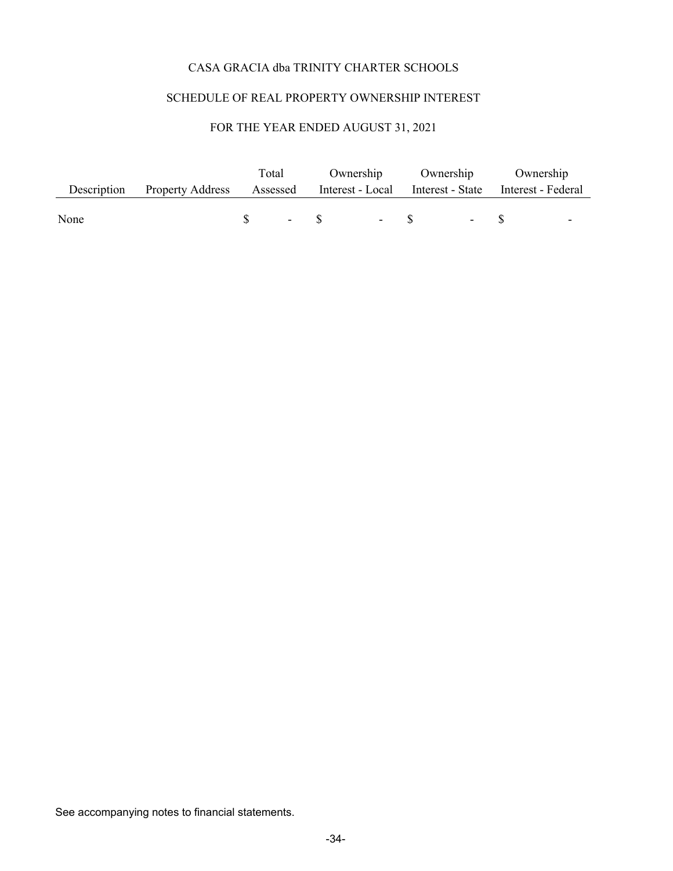# SCHEDULE OF REAL PROPERTY OWNERSHIP INTEREST

# FOR THE YEAR ENDED AUGUST 31, 2021

|      |                                                                                            | Total |  | Ownership Ownership Ownership |  |  |  |  |                                   |
|------|--------------------------------------------------------------------------------------------|-------|--|-------------------------------|--|--|--|--|-----------------------------------|
|      | Description Property Address Assessed Interest - Local Interest - State Interest - Federal |       |  |                               |  |  |  |  |                                   |
|      |                                                                                            |       |  |                               |  |  |  |  |                                   |
| None |                                                                                            |       |  | $S - S - S - S - S$           |  |  |  |  | <b>Contract Contract Contract</b> |

See accompanying notes to financial statements.